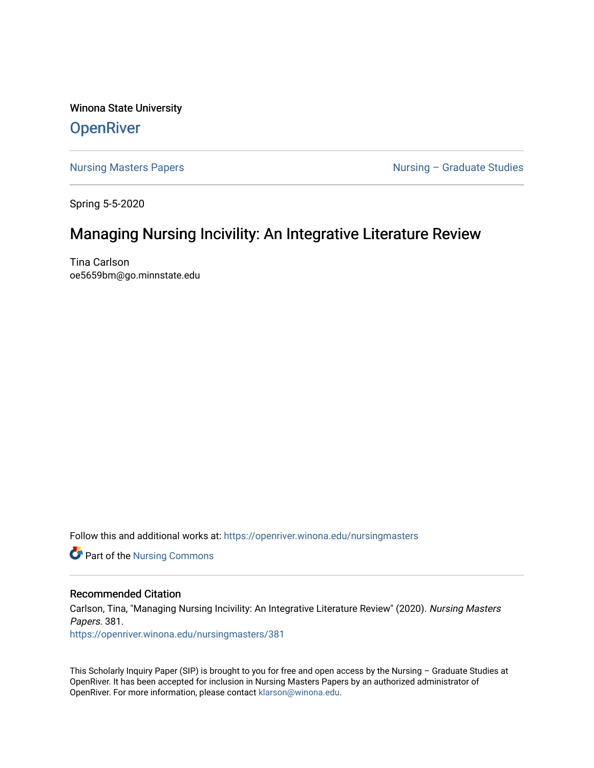Winona State University **OpenRiver** 

[Nursing Masters Papers](https://openriver.winona.edu/nursingmasters) **Nursing – Graduate Studies** 

Spring 5-5-2020

# Managing Nursing Incivility: An Integrative Literature Review

Tina Carlson oe5659bm@go.minnstate.edu

Follow this and additional works at: [https://openriver.winona.edu/nursingmasters](https://openriver.winona.edu/nursingmasters?utm_source=openriver.winona.edu%2Fnursingmasters%2F381&utm_medium=PDF&utm_campaign=PDFCoverPages) 

**Part of the Nursing Commons** 

## Recommended Citation

Carlson, Tina, "Managing Nursing Incivility: An Integrative Literature Review" (2020). Nursing Masters Papers. 381.

[https://openriver.winona.edu/nursingmasters/381](https://openriver.winona.edu/nursingmasters/381?utm_source=openriver.winona.edu%2Fnursingmasters%2F381&utm_medium=PDF&utm_campaign=PDFCoverPages) 

This Scholarly Inquiry Paper (SIP) is brought to you for free and open access by the Nursing – Graduate Studies at OpenRiver. It has been accepted for inclusion in Nursing Masters Papers by an authorized administrator of OpenRiver. For more information, please contact [klarson@winona.edu](mailto:klarson@winona.edu).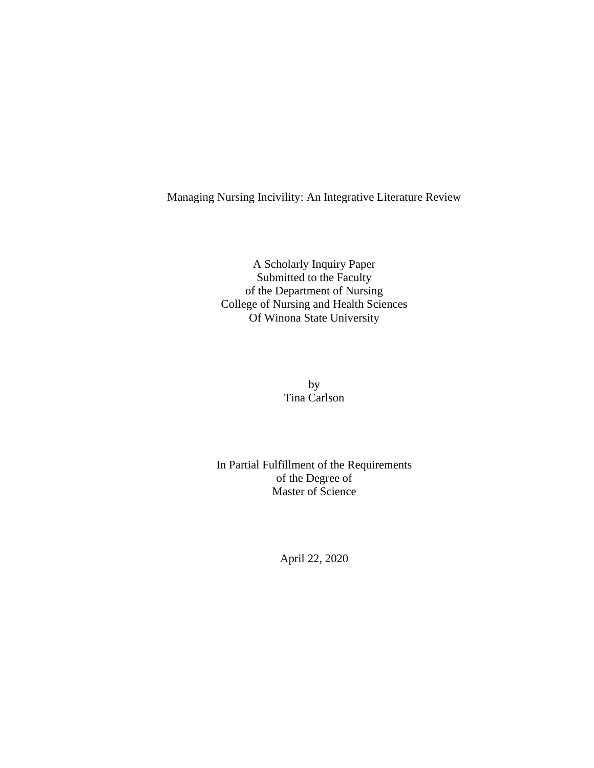Managing Nursing Incivility: An Integrative Literature Review

A Scholarly Inquiry Paper Submitted to the Faculty of the Department of Nursing College of Nursing and Health Sciences Of Winona State University

> by Tina Carlson

In Partial Fulfillment of the Requirements of the Degree of Master of Science

April 22, 2020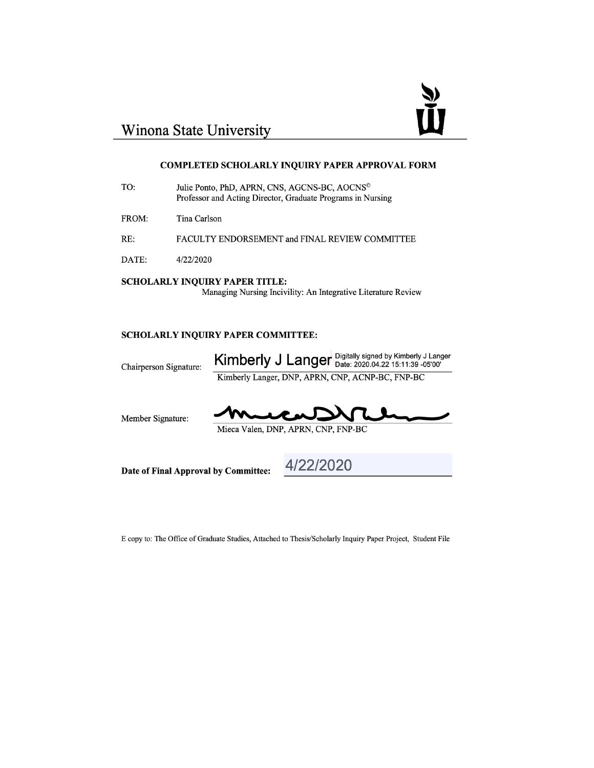

# Winona State University

#### **COMPLETED SCHOLARLY INQUIRY PAPER APPROVAL FORM**

- TO: Julie Ponto, PhD, APRN, CNS, AGCNS-BC, AOCNS<sup>®</sup> Professor and Acting Director, Graduate Programs in Nursing
- FROM: Tina Carlson
- RE: FACULTY ENDORSEMENT and FINAL REVIEW COMMITTEE
- DATE: 4/22/2020

#### **SCHOLARLY INQUIRY PAPER TITLE:** Managing Nursing Incivility: An Integrative Literature Review

#### **SCHOLARLY INQUIRY PAPER COMMITTEE:**

Chairperson Signature:

Kimberly J Langer Digitally signed by Kimberly J Langer Kimberly Langer, DNP, APRN, CNP, ACNP-BC, FNP-BC

Member Signature:

Mieca Valen, DNP, APRN, CNP, FNP-BC

Date of Final Approval by Committee:

4/22/2020

E copy to: The Office of Graduate Studies, Attached to Thesis/Scholarly Inquiry Paper Project, Student File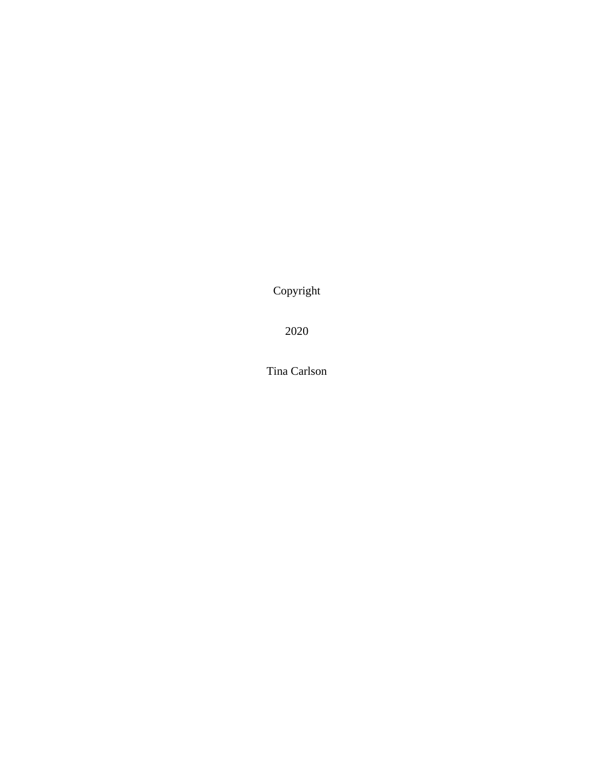Copyright

2020

Tina Carlson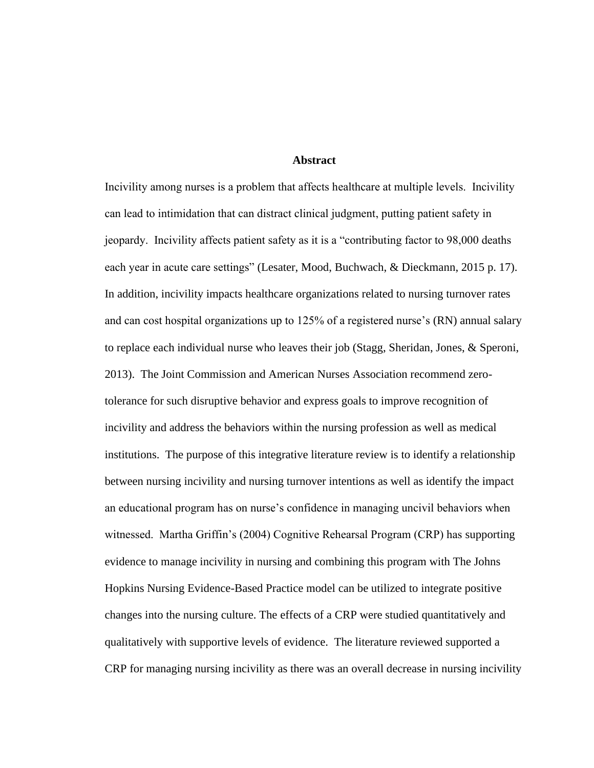# **Abstract**

Incivility among nurses is a problem that affects healthcare at multiple levels. Incivility can lead to intimidation that can distract clinical judgment, putting patient safety in jeopardy. Incivility affects patient safety as it is a "contributing factor to 98,000 deaths each year in acute care settings" (Lesater, Mood, Buchwach, & Dieckmann, 2015 p. 17). In addition, incivility impacts healthcare organizations related to nursing turnover rates and can cost hospital organizations up to 125% of a registered nurse's (RN) annual salary to replace each individual nurse who leaves their job (Stagg, Sheridan, Jones, & Speroni, 2013). The Joint Commission and American Nurses Association recommend zerotolerance for such disruptive behavior and express goals to improve recognition of incivility and address the behaviors within the nursing profession as well as medical institutions. The purpose of this integrative literature review is to identify a relationship between nursing incivility and nursing turnover intentions as well as identify the impact an educational program has on nurse's confidence in managing uncivil behaviors when witnessed. Martha Griffin's (2004) Cognitive Rehearsal Program (CRP) has supporting evidence to manage incivility in nursing and combining this program with The Johns Hopkins Nursing Evidence-Based Practice model can be utilized to integrate positive changes into the nursing culture. The effects of a CRP were studied quantitatively and qualitatively with supportive levels of evidence. The literature reviewed supported a CRP for managing nursing incivility as there was an overall decrease in nursing incivility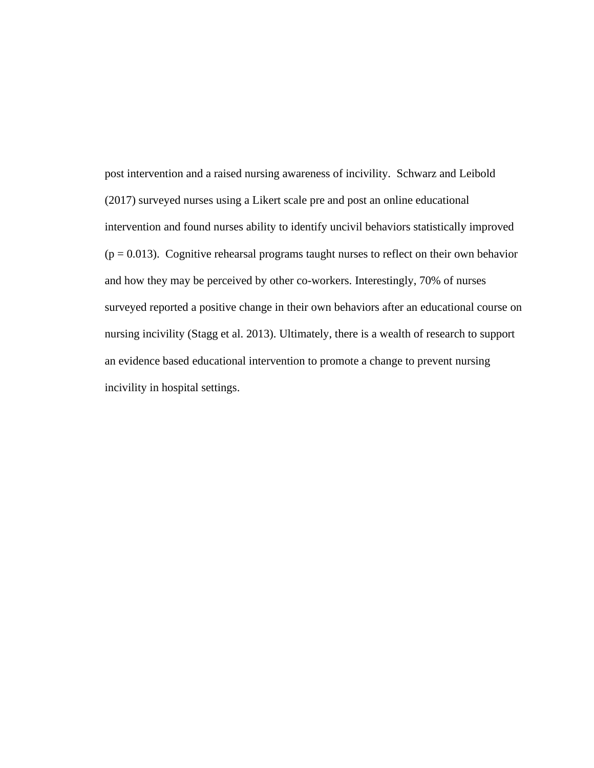post intervention and a raised nursing awareness of incivility. Schwarz and Leibold (2017) surveyed nurses using a Likert scale pre and post an online educational intervention and found nurses ability to identify uncivil behaviors statistically improved  $(p = 0.013)$ . Cognitive rehearsal programs taught nurses to reflect on their own behavior and how they may be perceived by other co-workers. Interestingly, 70% of nurses surveyed reported a positive change in their own behaviors after an educational course on nursing incivility (Stagg et al. 2013). Ultimately, there is a wealth of research to support an evidence based educational intervention to promote a change to prevent nursing incivility in hospital settings.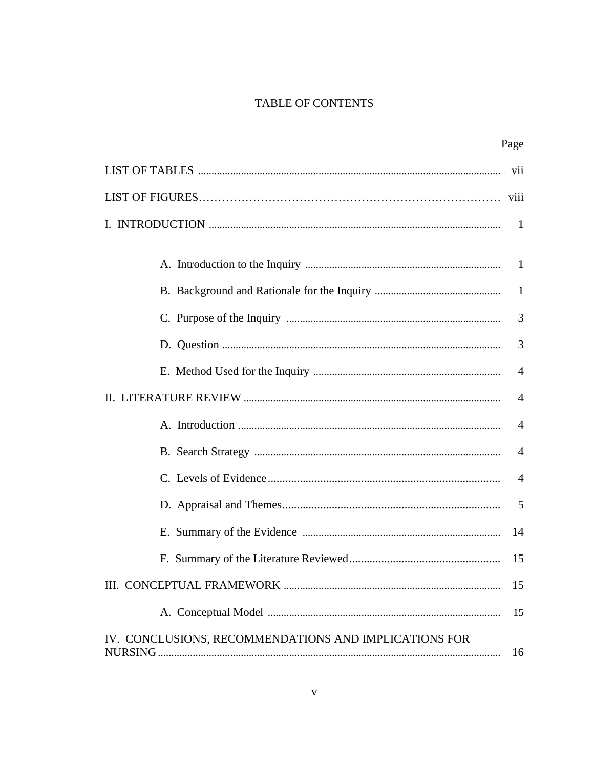# TABLE OF CONTENTS

|                                                       | Page           |
|-------------------------------------------------------|----------------|
|                                                       | vii            |
|                                                       |                |
|                                                       | $\blacksquare$ |
|                                                       |                |
|                                                       |                |
|                                                       |                |
|                                                       | 3              |
|                                                       | 3              |
|                                                       | $\overline{4}$ |
|                                                       | $\overline{4}$ |
|                                                       | $\overline{4}$ |
|                                                       | $\overline{4}$ |
|                                                       | $\overline{4}$ |
|                                                       | 5              |
|                                                       | 14             |
|                                                       |                |
|                                                       | 15             |
|                                                       | 15             |
| IV. CONCLUSIONS, RECOMMENDATIONS AND IMPLICATIONS FOR | 16             |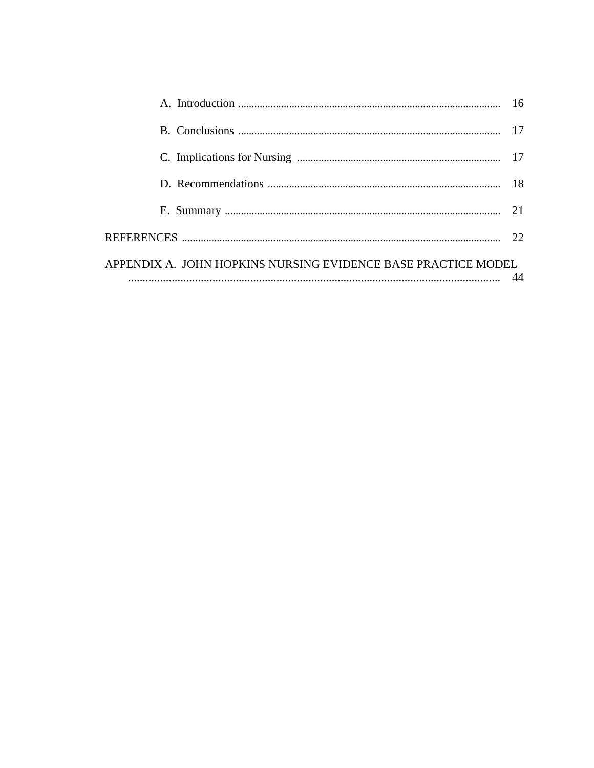| APPENDIX A. JOHN HOPKINS NURSING EVIDENCE BASE PRACTICE MODEL |  |
|---------------------------------------------------------------|--|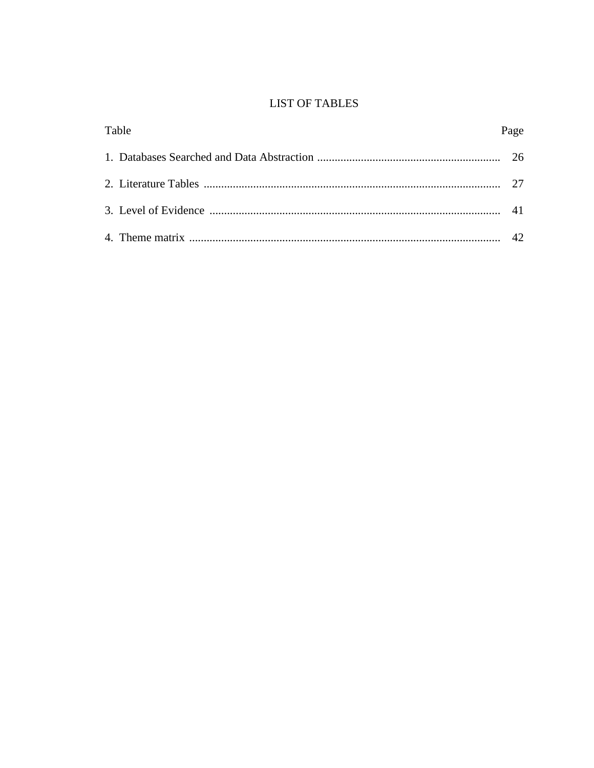# **LIST OF TABLES**

| Table | Page |
|-------|------|
|       |      |
|       |      |
|       |      |
|       |      |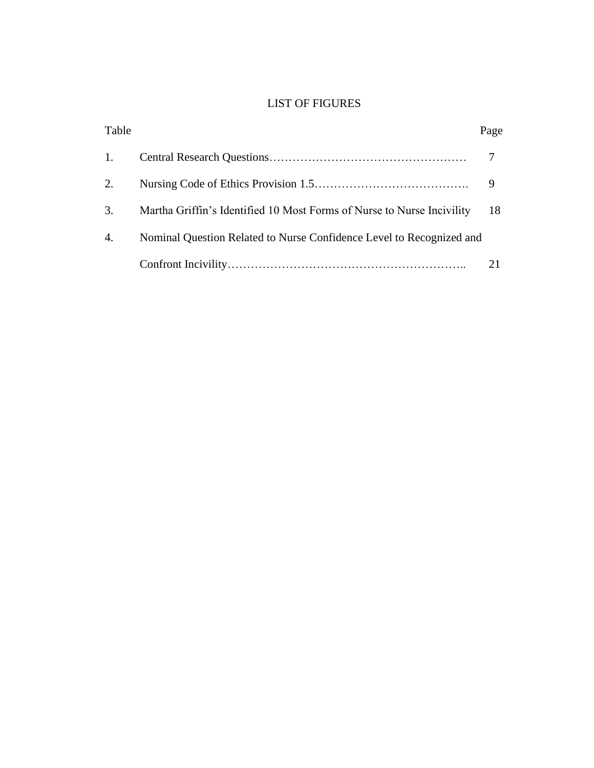# LIST OF FIGURES

| Table |                                                                        | Page |
|-------|------------------------------------------------------------------------|------|
| 1.    |                                                                        |      |
| 2.    |                                                                        | 9    |
| 3.    | Martha Griffin's Identified 10 Most Forms of Nurse to Nurse Incivility | -18  |
| 4.    | Nominal Question Related to Nurse Confidence Level to Recognized and   |      |
|       |                                                                        | 21   |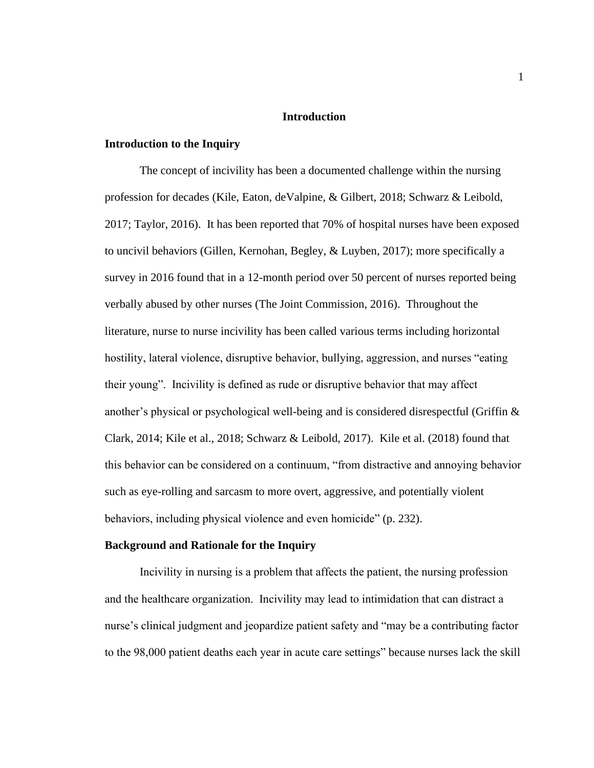## **Introduction**

### **Introduction to the Inquiry**

The concept of incivility has been a documented challenge within the nursing profession for decades (Kile, Eaton, deValpine, & Gilbert, 2018; Schwarz & Leibold, 2017; Taylor, 2016). It has been reported that 70% of hospital nurses have been exposed to uncivil behaviors (Gillen, Kernohan, Begley, & Luyben, 2017); more specifically a survey in 2016 found that in a 12-month period over 50 percent of nurses reported being verbally abused by other nurses (The Joint Commission, 2016). Throughout the literature, nurse to nurse incivility has been called various terms including horizontal hostility, lateral violence, disruptive behavior, bullying, aggression, and nurses "eating their young". Incivility is defined as rude or disruptive behavior that may affect another's physical or psychological well-being and is considered disrespectful (Griffin  $\&$ Clark, 2014; Kile et al., 2018; Schwarz & Leibold, 2017). Kile et al. (2018) found that this behavior can be considered on a continuum, "from distractive and annoying behavior such as eye-rolling and sarcasm to more overt, aggressive, and potentially violent behaviors, including physical violence and even homicide" (p. 232).

#### **Background and Rationale for the Inquiry**

Incivility in nursing is a problem that affects the patient, the nursing profession and the healthcare organization. Incivility may lead to intimidation that can distract a nurse's clinical judgment and jeopardize patient safety and "may be a contributing factor to the 98,000 patient deaths each year in acute care settings" because nurses lack the skill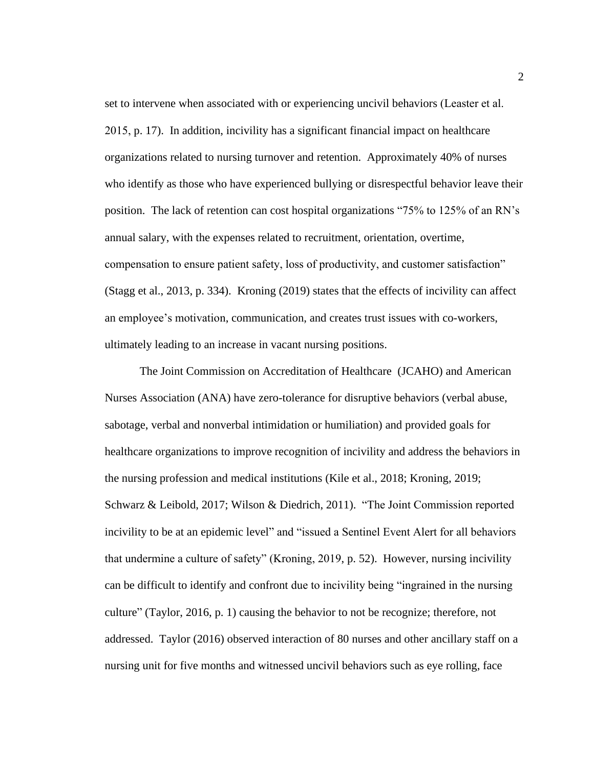set to intervene when associated with or experiencing uncivil behaviors (Leaster et al. 2015, p. 17). In addition, incivility has a significant financial impact on healthcare organizations related to nursing turnover and retention. Approximately 40% of nurses who identify as those who have experienced bullying or disrespectful behavior leave their position. The lack of retention can cost hospital organizations "75% to 125% of an RN's annual salary, with the expenses related to recruitment, orientation, overtime, compensation to ensure patient safety, loss of productivity, and customer satisfaction" (Stagg et al., 2013, p. 334). Kroning (2019) states that the effects of incivility can affect an employee's motivation, communication, and creates trust issues with co-workers, ultimately leading to an increase in vacant nursing positions.

The Joint Commission on Accreditation of Healthcare (JCAHO) and American Nurses Association (ANA) have zero-tolerance for disruptive behaviors (verbal abuse, sabotage, verbal and nonverbal intimidation or humiliation) and provided goals for healthcare organizations to improve recognition of incivility and address the behaviors in the nursing profession and medical institutions (Kile et al., 2018; Kroning, 2019; Schwarz & Leibold, 2017; Wilson & Diedrich, 2011). "The Joint Commission reported incivility to be at an epidemic level" and "issued a Sentinel Event Alert for all behaviors that undermine a culture of safety" (Kroning, 2019, p. 52). However, nursing incivility can be difficult to identify and confront due to incivility being "ingrained in the nursing culture" (Taylor, 2016, p. 1) causing the behavior to not be recognize; therefore, not addressed. Taylor (2016) observed interaction of 80 nurses and other ancillary staff on a nursing unit for five months and witnessed uncivil behaviors such as eye rolling, face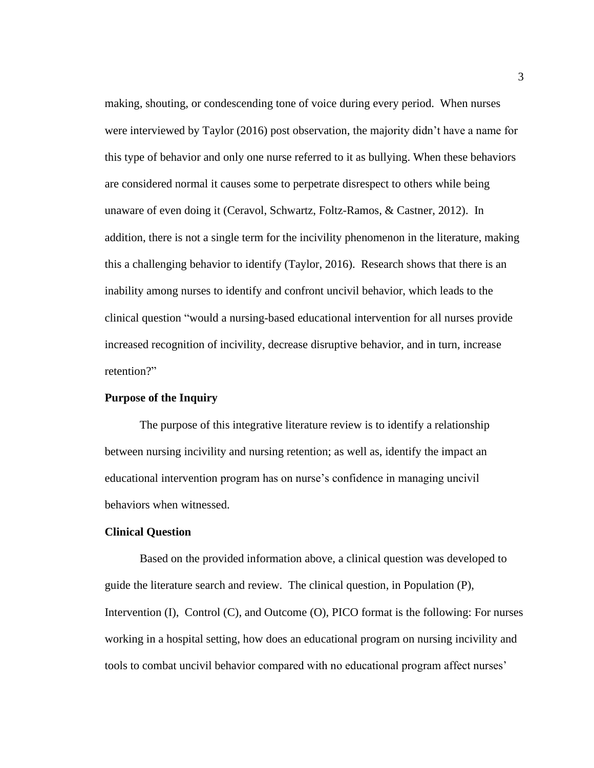making, shouting, or condescending tone of voice during every period. When nurses were interviewed by Taylor (2016) post observation, the majority didn't have a name for this type of behavior and only one nurse referred to it as bullying. When these behaviors are considered normal it causes some to perpetrate disrespect to others while being unaware of even doing it (Ceravol, Schwartz, Foltz-Ramos, & Castner, 2012). In addition, there is not a single term for the incivility phenomenon in the literature, making this a challenging behavior to identify (Taylor, 2016). Research shows that there is an inability among nurses to identify and confront uncivil behavior, which leads to the clinical question "would a nursing-based educational intervention for all nurses provide increased recognition of incivility, decrease disruptive behavior, and in turn, increase retention?"

#### **Purpose of the Inquiry**

The purpose of this integrative literature review is to identify a relationship between nursing incivility and nursing retention; as well as, identify the impact an educational intervention program has on nurse's confidence in managing uncivil behaviors when witnessed.

#### **Clinical Question**

Based on the provided information above, a clinical question was developed to guide the literature search and review. The clinical question, in Population (P), Intervention (I), Control (C), and Outcome (O), PICO format is the following: For nurses working in a hospital setting, how does an educational program on nursing incivility and tools to combat uncivil behavior compared with no educational program affect nurses'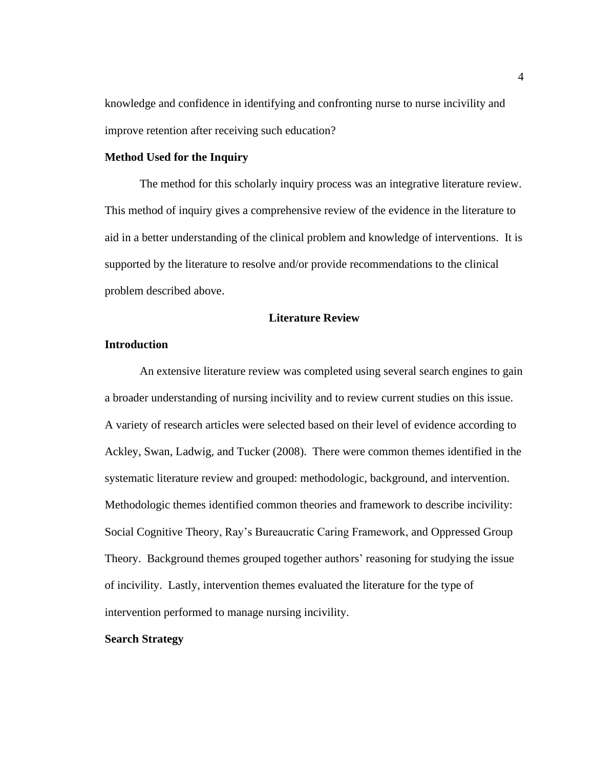knowledge and confidence in identifying and confronting nurse to nurse incivility and improve retention after receiving such education?

# **Method Used for the Inquiry**

The method for this scholarly inquiry process was an integrative literature review. This method of inquiry gives a comprehensive review of the evidence in the literature to aid in a better understanding of the clinical problem and knowledge of interventions. It is supported by the literature to resolve and/or provide recommendations to the clinical problem described above.

### **Literature Review**

#### **Introduction**

An extensive literature review was completed using several search engines to gain a broader understanding of nursing incivility and to review current studies on this issue. A variety of research articles were selected based on their level of evidence according to Ackley, Swan, Ladwig, and Tucker (2008). There were common themes identified in the systematic literature review and grouped: methodologic, background, and intervention. Methodologic themes identified common theories and framework to describe incivility: Social Cognitive Theory, Ray's Bureaucratic Caring Framework, and Oppressed Group Theory. Background themes grouped together authors' reasoning for studying the issue of incivility. Lastly, intervention themes evaluated the literature for the type of intervention performed to manage nursing incivility.

## **Search Strategy**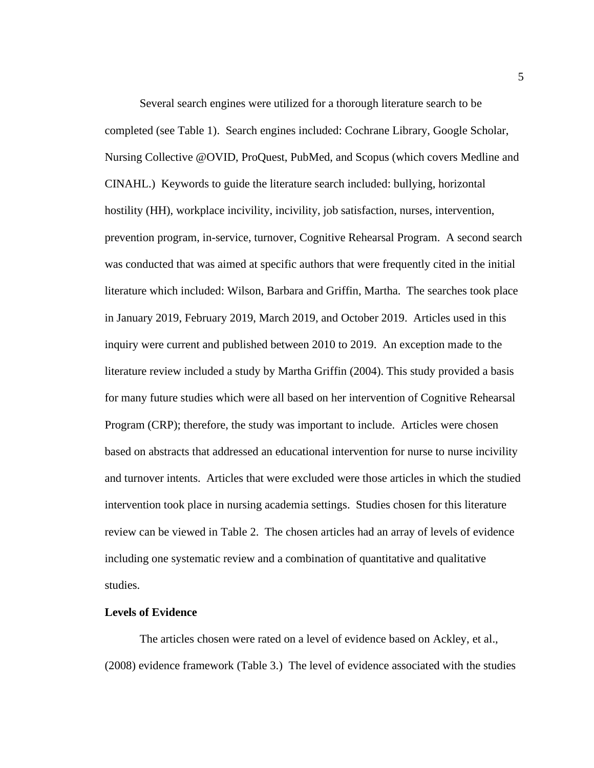Several search engines were utilized for a thorough literature search to be completed (see Table 1). Search engines included: Cochrane Library, Google Scholar, Nursing Collective @OVID, ProQuest, PubMed, and Scopus (which covers Medline and CINAHL.) Keywords to guide the literature search included: bullying, horizontal hostility (HH), workplace incivility, incivility, job satisfaction, nurses, intervention, prevention program, in-service, turnover, Cognitive Rehearsal Program. A second search was conducted that was aimed at specific authors that were frequently cited in the initial literature which included: Wilson, Barbara and Griffin, Martha. The searches took place in January 2019, February 2019, March 2019, and October 2019. Articles used in this inquiry were current and published between 2010 to 2019. An exception made to the literature review included a study by Martha Griffin (2004). This study provided a basis for many future studies which were all based on her intervention of Cognitive Rehearsal Program (CRP); therefore, the study was important to include. Articles were chosen based on abstracts that addressed an educational intervention for nurse to nurse incivility and turnover intents. Articles that were excluded were those articles in which the studied intervention took place in nursing academia settings. Studies chosen for this literature review can be viewed in Table 2. The chosen articles had an array of levels of evidence including one systematic review and a combination of quantitative and qualitative studies.

# **Levels of Evidence**

The articles chosen were rated on a level of evidence based on Ackley, et al., (2008) evidence framework (Table 3.) The level of evidence associated with the studies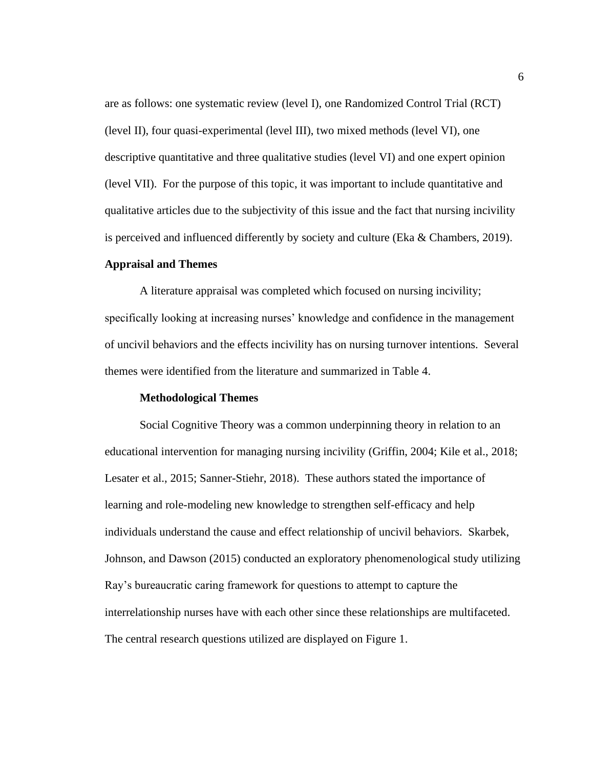are as follows: one systematic review (level I), one Randomized Control Trial (RCT) (level II), four quasi-experimental (level III), two mixed methods (level VI), one descriptive quantitative and three qualitative studies (level VI) and one expert opinion (level VII). For the purpose of this topic, it was important to include quantitative and qualitative articles due to the subjectivity of this issue and the fact that nursing incivility is perceived and influenced differently by society and culture (Eka  $\&$  Chambers, 2019).

# **Appraisal and Themes**

A literature appraisal was completed which focused on nursing incivility; specifically looking at increasing nurses' knowledge and confidence in the management of uncivil behaviors and the effects incivility has on nursing turnover intentions. Several themes were identified from the literature and summarized in Table 4.

#### **Methodological Themes**

Social Cognitive Theory was a common underpinning theory in relation to an educational intervention for managing nursing incivility (Griffin, 2004; Kile et al., 2018; Lesater et al., 2015; Sanner-Stiehr, 2018). These authors stated the importance of learning and role-modeling new knowledge to strengthen self-efficacy and help individuals understand the cause and effect relationship of uncivil behaviors. Skarbek, Johnson, and Dawson (2015) conducted an exploratory phenomenological study utilizing Ray's bureaucratic caring framework for questions to attempt to capture the interrelationship nurses have with each other since these relationships are multifaceted. The central research questions utilized are displayed on Figure 1.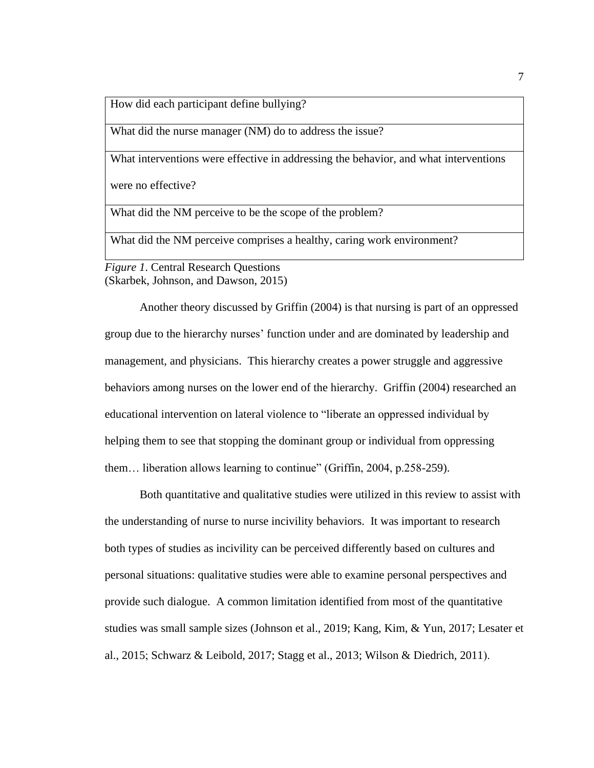How did each participant define bullying?

What did the nurse manager (NM) do to address the issue?

What interventions were effective in addressing the behavior, and what interventions

were no effective?

What did the NM perceive to be the scope of the problem?

What did the NM perceive comprises a healthy, caring work environment?

*Figure 1*. Central Research Questions (Skarbek, Johnson, and Dawson, 2015)

Another theory discussed by Griffin (2004) is that nursing is part of an oppressed group due to the hierarchy nurses' function under and are dominated by leadership and management, and physicians. This hierarchy creates a power struggle and aggressive behaviors among nurses on the lower end of the hierarchy. Griffin (2004) researched an educational intervention on lateral violence to "liberate an oppressed individual by helping them to see that stopping the dominant group or individual from oppressing them… liberation allows learning to continue" (Griffin, 2004, p.258-259).

Both quantitative and qualitative studies were utilized in this review to assist with the understanding of nurse to nurse incivility behaviors. It was important to research both types of studies as incivility can be perceived differently based on cultures and personal situations: qualitative studies were able to examine personal perspectives and provide such dialogue. A common limitation identified from most of the quantitative studies was small sample sizes (Johnson et al., 2019; Kang, Kim, & Yun, 2017; Lesater et al., 2015; Schwarz & Leibold, 2017; Stagg et al., 2013; Wilson & Diedrich, 2011).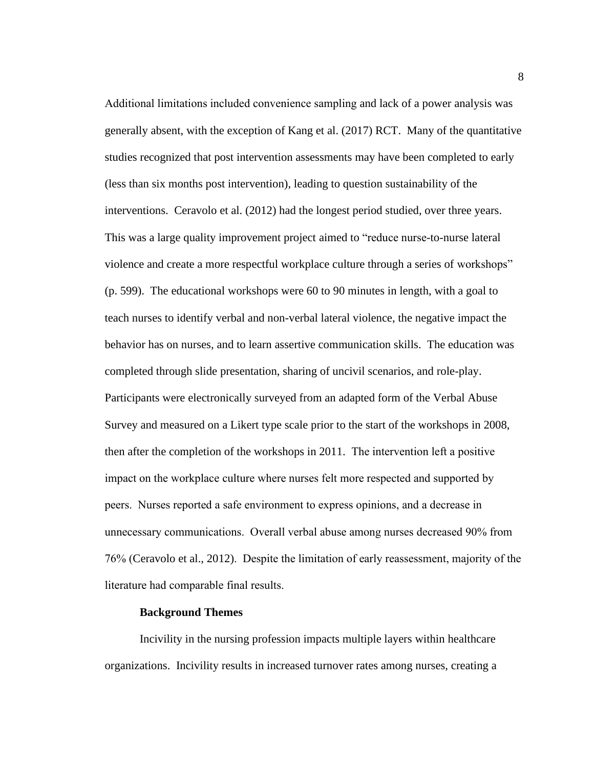Additional limitations included convenience sampling and lack of a power analysis was generally absent, with the exception of Kang et al. (2017) RCT. Many of the quantitative studies recognized that post intervention assessments may have been completed to early (less than six months post intervention), leading to question sustainability of the interventions. Ceravolo et al. (2012) had the longest period studied, over three years. This was a large quality improvement project aimed to "reduce nurse-to-nurse lateral violence and create a more respectful workplace culture through a series of workshops" (p. 599). The educational workshops were 60 to 90 minutes in length, with a goal to teach nurses to identify verbal and non-verbal lateral violence, the negative impact the behavior has on nurses, and to learn assertive communication skills. The education was completed through slide presentation, sharing of uncivil scenarios, and role-play. Participants were electronically surveyed from an adapted form of the Verbal Abuse Survey and measured on a Likert type scale prior to the start of the workshops in 2008, then after the completion of the workshops in 2011. The intervention left a positive impact on the workplace culture where nurses felt more respected and supported by peers. Nurses reported a safe environment to express opinions, and a decrease in unnecessary communications. Overall verbal abuse among nurses decreased 90% from 76% (Ceravolo et al., 2012). Despite the limitation of early reassessment, majority of the literature had comparable final results.

#### **Background Themes**

Incivility in the nursing profession impacts multiple layers within healthcare organizations. Incivility results in increased turnover rates among nurses, creating a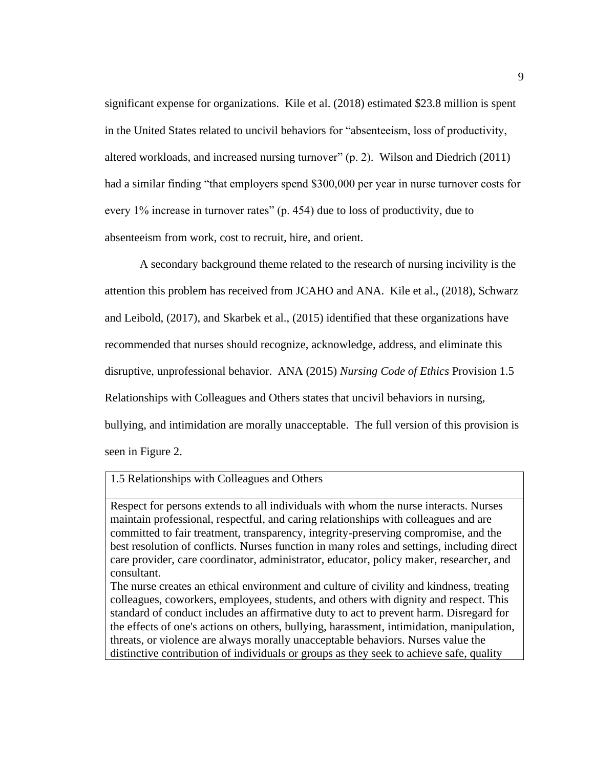significant expense for organizations. Kile et al. (2018) estimated \$23.8 million is spent in the United States related to uncivil behaviors for "absenteeism, loss of productivity, altered workloads, and increased nursing turnover" (p. 2). Wilson and Diedrich (2011) had a similar finding "that employers spend \$300,000 per year in nurse turnover costs for every 1% increase in turnover rates" (p. 454) due to loss of productivity, due to absenteeism from work, cost to recruit, hire, and orient.

A secondary background theme related to the research of nursing incivility is the attention this problem has received from JCAHO and ANA. Kile et al., (2018), Schwarz and Leibold, (2017), and Skarbek et al., (2015) identified that these organizations have recommended that nurses should recognize, acknowledge, address, and eliminate this disruptive, unprofessional behavior. ANA (2015) *Nursing Code of Ethics* Provision 1.5 Relationships with Colleagues and Others states that uncivil behaviors in nursing, bullying, and intimidation are morally unacceptable. The full version of this provision is seen in Figure 2.

1.5 Relationships with Colleagues and Others

Respect for persons extends to all individuals with whom the nurse interacts. Nurses maintain professional, respectful, and caring relationships with colleagues and are committed to fair treatment, transparency, integrity-preserving compromise, and the best resolution of conflicts. Nurses function in many roles and settings, including direct care provider, care coordinator, administrator, educator, policy maker, researcher, and consultant.

The nurse creates an ethical environment and culture of civility and kindness, treating colleagues, coworkers, employees, students, and others with dignity and respect. This standard of conduct includes an affirmative duty to act to prevent harm. Disregard for the effects of one's actions on others, bullying, harassment, intimidation, manipulation, threats, or violence are always morally unacceptable behaviors. Nurses value the distinctive contribution of individuals or groups as they seek to achieve safe, quality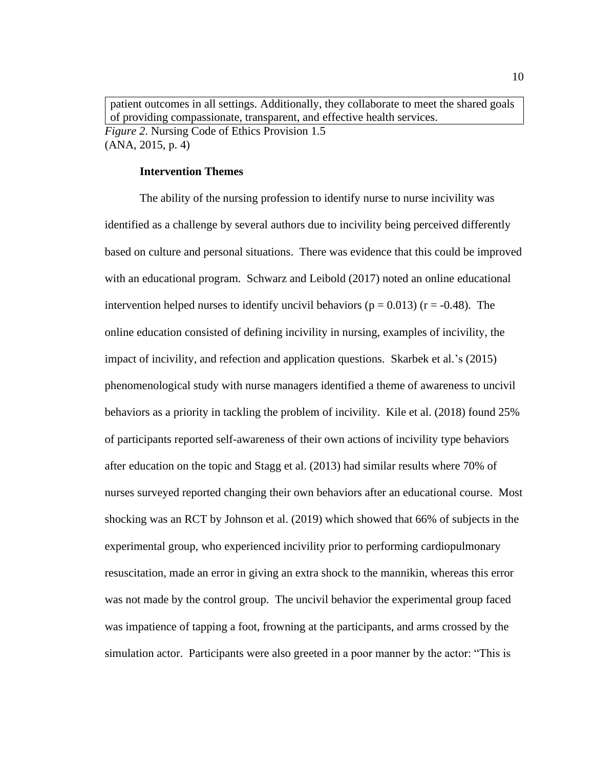patient outcomes in all settings. Additionally, they collaborate to meet the shared goals of providing compassionate, transparent, and effective health services. *Figure 2*. Nursing Code of Ethics Provision 1.5 (ANA, 2015, p. 4)

# **Intervention Themes**

The ability of the nursing profession to identify nurse to nurse incivility was identified as a challenge by several authors due to incivility being perceived differently based on culture and personal situations. There was evidence that this could be improved with an educational program. Schwarz and Leibold (2017) noted an online educational intervention helped nurses to identify uncivil behaviors ( $p = 0.013$ ) ( $r = -0.48$ ). The online education consisted of defining incivility in nursing, examples of incivility, the impact of incivility, and refection and application questions. Skarbek et al.'s (2015) phenomenological study with nurse managers identified a theme of awareness to uncivil behaviors as a priority in tackling the problem of incivility. Kile et al. (2018) found 25% of participants reported self-awareness of their own actions of incivility type behaviors after education on the topic and Stagg et al. (2013) had similar results where 70% of nurses surveyed reported changing their own behaviors after an educational course. Most shocking was an RCT by Johnson et al. (2019) which showed that 66% of subjects in the experimental group, who experienced incivility prior to performing cardiopulmonary resuscitation, made an error in giving an extra shock to the mannikin, whereas this error was not made by the control group. The uncivil behavior the experimental group faced was impatience of tapping a foot, frowning at the participants, and arms crossed by the simulation actor. Participants were also greeted in a poor manner by the actor: "This is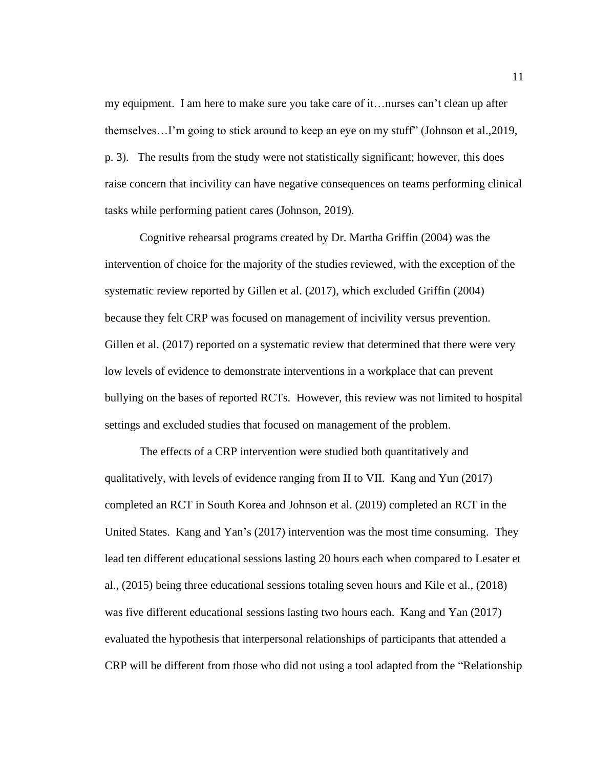my equipment. I am here to make sure you take care of it…nurses can't clean up after themselves…I'm going to stick around to keep an eye on my stuff" (Johnson et al.,2019, p. 3). The results from the study were not statistically significant; however, this does raise concern that incivility can have negative consequences on teams performing clinical tasks while performing patient cares (Johnson, 2019).

Cognitive rehearsal programs created by Dr. Martha Griffin (2004) was the intervention of choice for the majority of the studies reviewed, with the exception of the systematic review reported by Gillen et al. (2017), which excluded Griffin (2004) because they felt CRP was focused on management of incivility versus prevention. Gillen et al. (2017) reported on a systematic review that determined that there were very low levels of evidence to demonstrate interventions in a workplace that can prevent bullying on the bases of reported RCTs. However, this review was not limited to hospital settings and excluded studies that focused on management of the problem.

The effects of a CRP intervention were studied both quantitatively and qualitatively, with levels of evidence ranging from II to VII. Kang and Yun (2017) completed an RCT in South Korea and Johnson et al. (2019) completed an RCT in the United States. Kang and Yan's (2017) intervention was the most time consuming. They lead ten different educational sessions lasting 20 hours each when compared to Lesater et al., (2015) being three educational sessions totaling seven hours and Kile et al., (2018) was five different educational sessions lasting two hours each. Kang and Yan (2017) evaluated the hypothesis that interpersonal relationships of participants that attended a CRP will be different from those who did not using a tool adapted from the "Relationship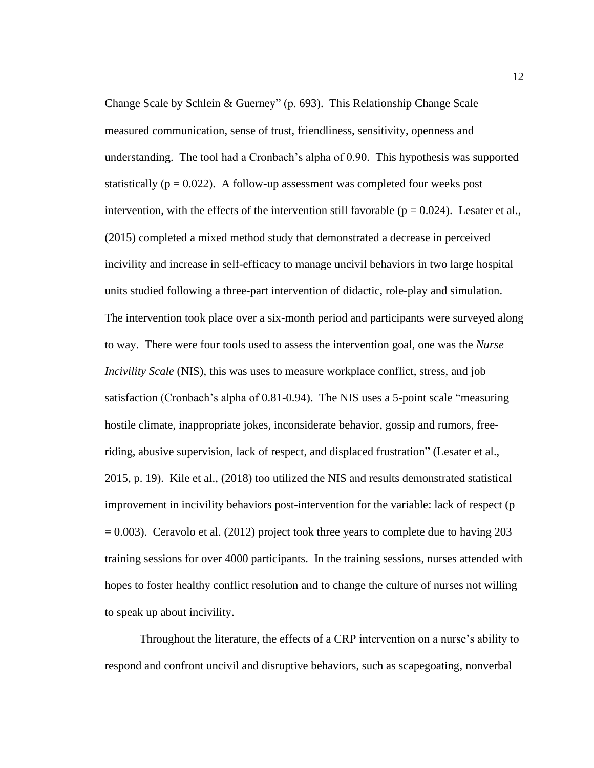Change Scale by Schlein & Guerney" (p. 693). This Relationship Change Scale measured communication, sense of trust, friendliness, sensitivity, openness and understanding. The tool had a Cronbach's alpha of 0.90. This hypothesis was supported statistically ( $p = 0.022$ ). A follow-up assessment was completed four weeks post intervention, with the effects of the intervention still favorable ( $p = 0.024$ ). Lesater et al., (2015) completed a mixed method study that demonstrated a decrease in perceived incivility and increase in self-efficacy to manage uncivil behaviors in two large hospital units studied following a three-part intervention of didactic, role-play and simulation. The intervention took place over a six-month period and participants were surveyed along to way. There were four tools used to assess the intervention goal, one was the *Nurse Incivility Scale* (NIS), this was uses to measure workplace conflict, stress, and job satisfaction (Cronbach's alpha of 0.81-0.94). The NIS uses a 5-point scale "measuring hostile climate, inappropriate jokes, inconsiderate behavior, gossip and rumors, freeriding, abusive supervision, lack of respect, and displaced frustration" (Lesater et al., 2015, p. 19). Kile et al., (2018) too utilized the NIS and results demonstrated statistical improvement in incivility behaviors post-intervention for the variable: lack of respect (p  $= 0.003$ ). Ceravolo et al. (2012) project took three years to complete due to having 203 training sessions for over 4000 participants. In the training sessions, nurses attended with hopes to foster healthy conflict resolution and to change the culture of nurses not willing to speak up about incivility.

Throughout the literature, the effects of a CRP intervention on a nurse's ability to respond and confront uncivil and disruptive behaviors, such as scapegoating, nonverbal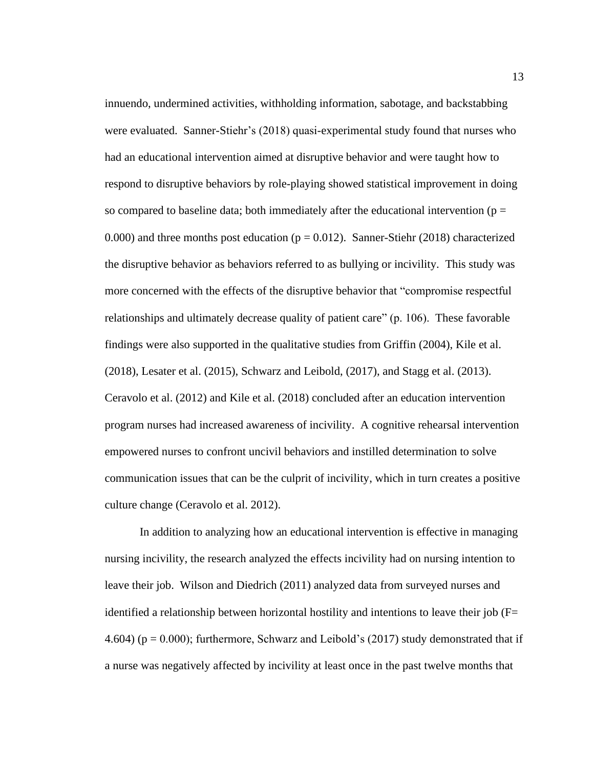innuendo, undermined activities, withholding information, sabotage, and backstabbing were evaluated. Sanner-Stiehr's (2018) quasi-experimental study found that nurses who had an educational intervention aimed at disruptive behavior and were taught how to respond to disruptive behaviors by role-playing showed statistical improvement in doing so compared to baseline data; both immediately after the educational intervention ( $p =$ 0.000) and three months post education ( $p = 0.012$ ). Sanner-Stiehr (2018) characterized the disruptive behavior as behaviors referred to as bullying or incivility. This study was more concerned with the effects of the disruptive behavior that "compromise respectful relationships and ultimately decrease quality of patient care" (p. 106). These favorable findings were also supported in the qualitative studies from Griffin (2004), Kile et al. (2018), Lesater et al. (2015), Schwarz and Leibold, (2017), and Stagg et al. (2013). Ceravolo et al. (2012) and Kile et al. (2018) concluded after an education intervention program nurses had increased awareness of incivility. A cognitive rehearsal intervention empowered nurses to confront uncivil behaviors and instilled determination to solve communication issues that can be the culprit of incivility, which in turn creates a positive culture change (Ceravolo et al. 2012).

In addition to analyzing how an educational intervention is effective in managing nursing incivility, the research analyzed the effects incivility had on nursing intention to leave their job. Wilson and Diedrich (2011) analyzed data from surveyed nurses and identified a relationship between horizontal hostility and intentions to leave their job ( $F=$ 4.604) ( $p = 0.000$ ); furthermore, Schwarz and Leibold's (2017) study demonstrated that if a nurse was negatively affected by incivility at least once in the past twelve months that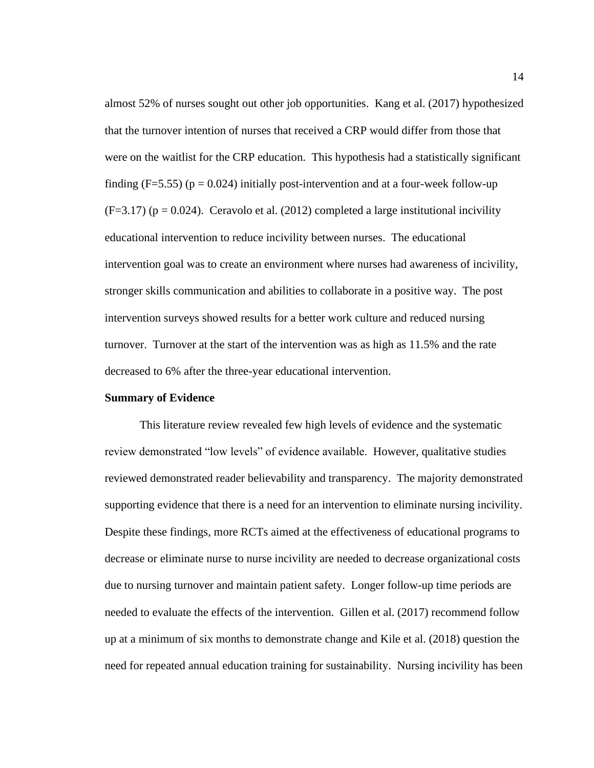almost 52% of nurses sought out other job opportunities. Kang et al. (2017) hypothesized that the turnover intention of nurses that received a CRP would differ from those that were on the waitlist for the CRP education. This hypothesis had a statistically significant finding  $(F=5.55)$  (p = 0.024) initially post-intervention and at a four-week follow-up  $(F=3.17)$  (p = 0.024). Ceravolo et al. (2012) completed a large institutional incivility educational intervention to reduce incivility between nurses. The educational intervention goal was to create an environment where nurses had awareness of incivility, stronger skills communication and abilities to collaborate in a positive way. The post intervention surveys showed results for a better work culture and reduced nursing turnover. Turnover at the start of the intervention was as high as 11.5% and the rate decreased to 6% after the three-year educational intervention.

#### **Summary of Evidence**

This literature review revealed few high levels of evidence and the systematic review demonstrated "low levels" of evidence available. However, qualitative studies reviewed demonstrated reader believability and transparency. The majority demonstrated supporting evidence that there is a need for an intervention to eliminate nursing incivility. Despite these findings, more RCTs aimed at the effectiveness of educational programs to decrease or eliminate nurse to nurse incivility are needed to decrease organizational costs due to nursing turnover and maintain patient safety. Longer follow-up time periods are needed to evaluate the effects of the intervention. Gillen et al. (2017) recommend follow up at a minimum of six months to demonstrate change and Kile et al. (2018) question the need for repeated annual education training for sustainability. Nursing incivility has been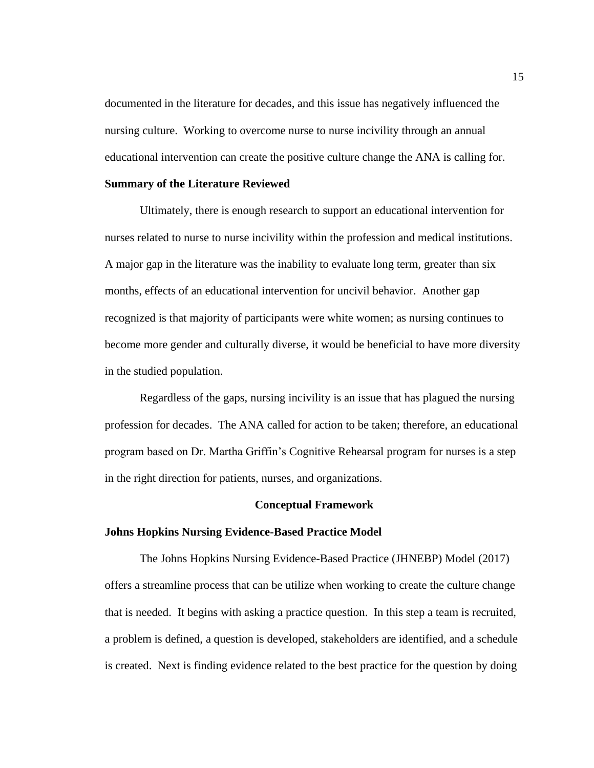documented in the literature for decades, and this issue has negatively influenced the nursing culture. Working to overcome nurse to nurse incivility through an annual educational intervention can create the positive culture change the ANA is calling for.

#### **Summary of the Literature Reviewed**

Ultimately, there is enough research to support an educational intervention for nurses related to nurse to nurse incivility within the profession and medical institutions. A major gap in the literature was the inability to evaluate long term, greater than six months, effects of an educational intervention for uncivil behavior. Another gap recognized is that majority of participants were white women; as nursing continues to become more gender and culturally diverse, it would be beneficial to have more diversity in the studied population.

Regardless of the gaps, nursing incivility is an issue that has plagued the nursing profession for decades. The ANA called for action to be taken; therefore, an educational program based on Dr. Martha Griffin's Cognitive Rehearsal program for nurses is a step in the right direction for patients, nurses, and organizations.

# **Conceptual Framework**

#### **Johns Hopkins Nursing Evidence-Based Practice Model**

 The Johns Hopkins Nursing Evidence-Based Practice (JHNEBP) Model (2017) offers a streamline process that can be utilize when working to create the culture change that is needed. It begins with asking a practice question. In this step a team is recruited, a problem is defined, a question is developed, stakeholders are identified, and a schedule is created. Next is finding evidence related to the best practice for the question by doing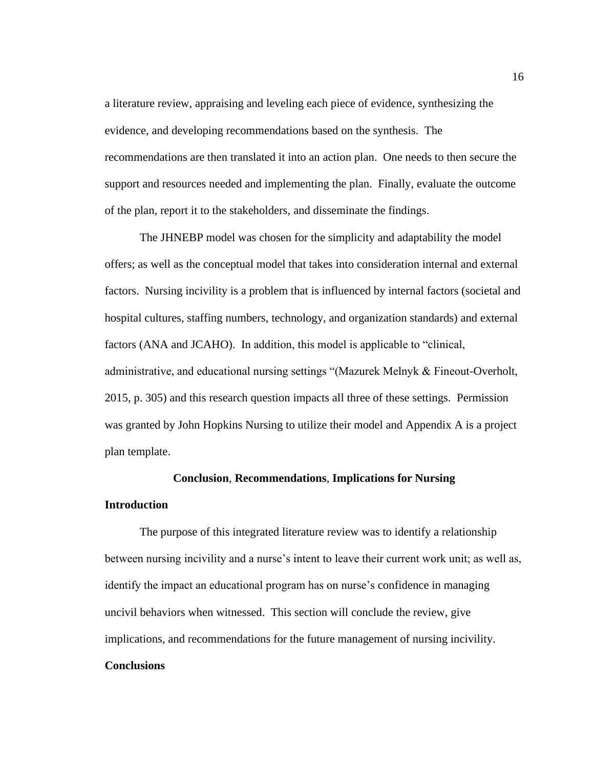a literature review, appraising and leveling each piece of evidence, synthesizing the evidence, and developing recommendations based on the synthesis. The recommendations are then translated it into an action plan. One needs to then secure the support and resources needed and implementing the plan. Finally, evaluate the outcome of the plan, report it to the stakeholders, and disseminate the findings.

The JHNEBP model was chosen for the simplicity and adaptability the model offers; as well as the conceptual model that takes into consideration internal and external factors. Nursing incivility is a problem that is influenced by internal factors (societal and hospital cultures, staffing numbers, technology, and organization standards) and external factors (ANA and JCAHO). In addition, this model is applicable to "clinical, administrative, and educational nursing settings "(Mazurek Melnyk & Fineout-Overholt, 2015, p. 305) and this research question impacts all three of these settings. Permission was granted by John Hopkins Nursing to utilize their model and Appendix A is a project plan template.

# **Conclusion**, **Recommendations**, **Implications for Nursing Introduction**

The purpose of this integrated literature review was to identify a relationship between nursing incivility and a nurse's intent to leave their current work unit; as well as, identify the impact an educational program has on nurse's confidence in managing uncivil behaviors when witnessed. This section will conclude the review, give implications, and recommendations for the future management of nursing incivility. **Conclusions**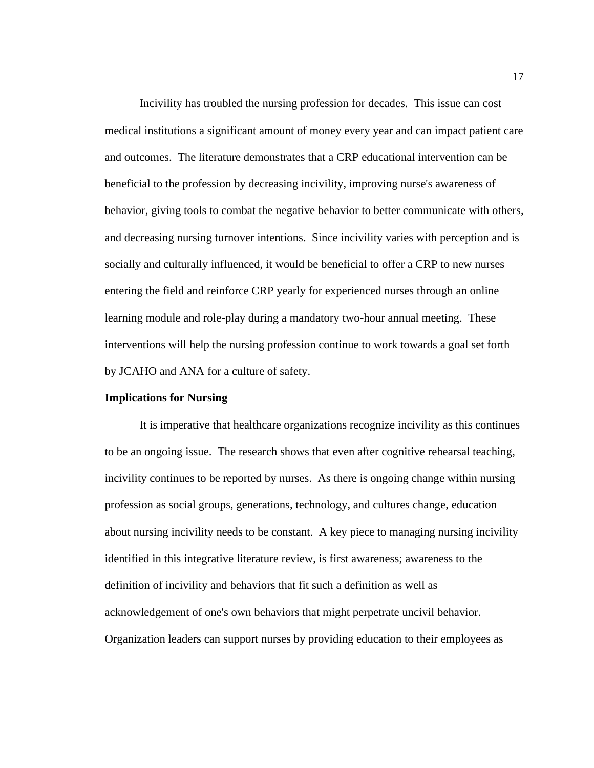Incivility has troubled the nursing profession for decades. This issue can cost medical institutions a significant amount of money every year and can impact patient care and outcomes. The literature demonstrates that a CRP educational intervention can be beneficial to the profession by decreasing incivility, improving nurse's awareness of behavior, giving tools to combat the negative behavior to better communicate with others, and decreasing nursing turnover intentions. Since incivility varies with perception and is socially and culturally influenced, it would be beneficial to offer a CRP to new nurses entering the field and reinforce CRP yearly for experienced nurses through an online learning module and role-play during a mandatory two-hour annual meeting. These interventions will help the nursing profession continue to work towards a goal set forth by JCAHO and ANA for a culture of safety.

### **Implications for Nursing**

It is imperative that healthcare organizations recognize incivility as this continues to be an ongoing issue. The research shows that even after cognitive rehearsal teaching, incivility continues to be reported by nurses. As there is ongoing change within nursing profession as social groups, generations, technology, and cultures change, education about nursing incivility needs to be constant. A key piece to managing nursing incivility identified in this integrative literature review, is first awareness; awareness to the definition of incivility and behaviors that fit such a definition as well as acknowledgement of one's own behaviors that might perpetrate uncivil behavior. Organization leaders can support nurses by providing education to their employees as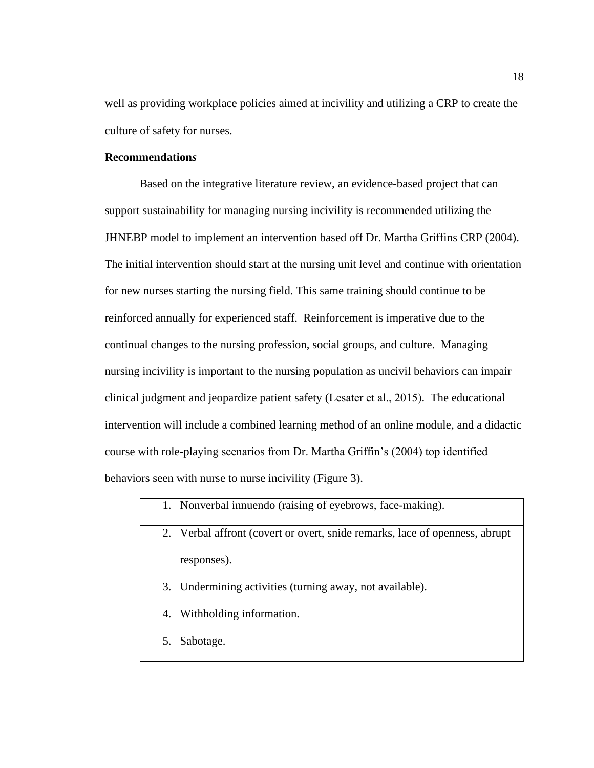well as providing workplace policies aimed at incivility and utilizing a CRP to create the culture of safety for nurses.

### **Recommendation***s*

Based on the integrative literature review, an evidence-based project that can support sustainability for managing nursing incivility is recommended utilizing the JHNEBP model to implement an intervention based off Dr. Martha Griffins CRP (2004). The initial intervention should start at the nursing unit level and continue with orientation for new nurses starting the nursing field. This same training should continue to be reinforced annually for experienced staff. Reinforcement is imperative due to the continual changes to the nursing profession, social groups, and culture. Managing nursing incivility is important to the nursing population as uncivil behaviors can impair clinical judgment and jeopardize patient safety (Lesater et al., 2015). The educational intervention will include a combined learning method of an online module, and a didactic course with role-playing scenarios from Dr. Martha Griffin's (2004) top identified behaviors seen with nurse to nurse incivility (Figure 3).

| 1. Nonverbal innuendo (raising of eyebrows, face-making).                   |
|-----------------------------------------------------------------------------|
| 2. Verbal affront (covert or overt, snide remarks, lace of openness, abrupt |
| responses).                                                                 |
| 3. Undermining activities (turning away, not available).                    |
| 4. Withholding information.                                                 |
| 5. Sabotage.                                                                |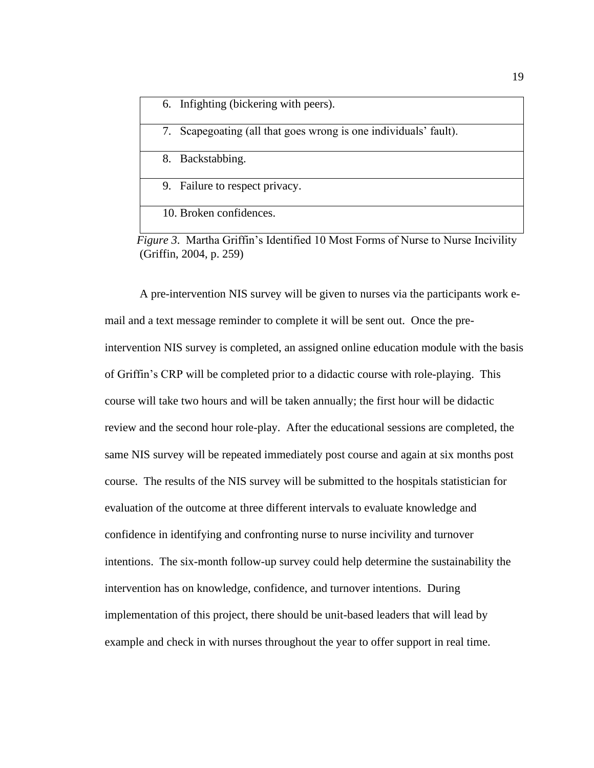|  |  |  | 6. Infighting (bickering with peers). |
|--|--|--|---------------------------------------|
|--|--|--|---------------------------------------|

7. Scapegoating (all that goes wrong is one individuals' fault).

8. Backstabbing.

9. Failure to respect privacy.

10. Broken confidences.

 *Figure 3*. Martha Griffin's Identified 10 Most Forms of Nurse to Nurse Incivility (Griffin, 2004, p. 259)

 A pre-intervention NIS survey will be given to nurses via the participants work email and a text message reminder to complete it will be sent out. Once the preintervention NIS survey is completed, an assigned online education module with the basis of Griffin's CRP will be completed prior to a didactic course with role-playing. This course will take two hours and will be taken annually; the first hour will be didactic review and the second hour role-play. After the educational sessions are completed, the same NIS survey will be repeated immediately post course and again at six months post course. The results of the NIS survey will be submitted to the hospitals statistician for evaluation of the outcome at three different intervals to evaluate knowledge and confidence in identifying and confronting nurse to nurse incivility and turnover intentions. The six-month follow-up survey could help determine the sustainability the intervention has on knowledge, confidence, and turnover intentions. During implementation of this project, there should be unit-based leaders that will lead by example and check in with nurses throughout the year to offer support in real time.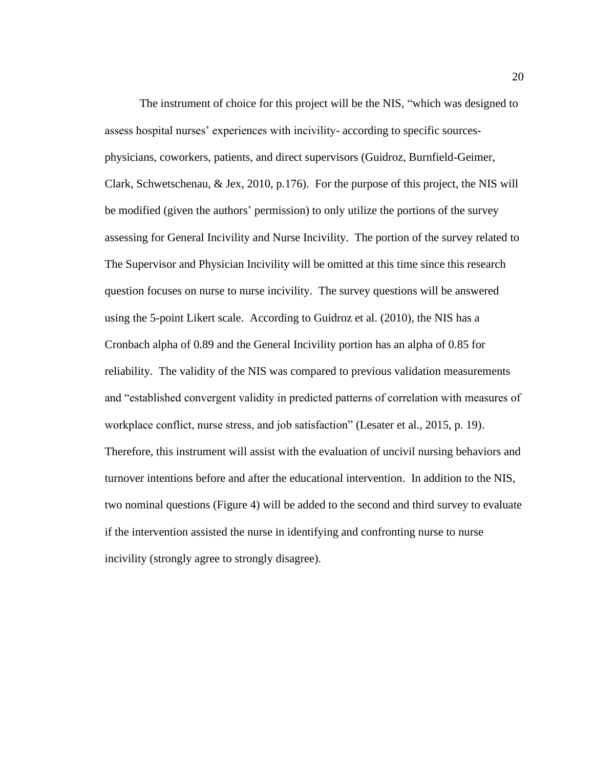The instrument of choice for this project will be the NIS, "which was designed to assess hospital nurses' experiences with incivility- according to specific sourcesphysicians, coworkers, patients, and direct supervisors (Guidroz, Burnfield-Geimer, Clark, Schwetschenau, & Jex, 2010, p.176). For the purpose of this project, the NIS will be modified (given the authors' permission) to only utilize the portions of the survey assessing for General Incivility and Nurse Incivility. The portion of the survey related to The Supervisor and Physician Incivility will be omitted at this time since this research question focuses on nurse to nurse incivility. The survey questions will be answered using the 5-point Likert scale. According to Guidroz et al. (2010), the NIS has a Cronbach alpha of 0.89 and the General Incivility portion has an alpha of 0.85 for reliability. The validity of the NIS was compared to previous validation measurements and "established convergent validity in predicted patterns of correlation with measures of workplace conflict, nurse stress, and job satisfaction" (Lesater et al., 2015, p. 19). Therefore, this instrument will assist with the evaluation of uncivil nursing behaviors and turnover intentions before and after the educational intervention. In addition to the NIS, two nominal questions (Figure 4) will be added to the second and third survey to evaluate if the intervention assisted the nurse in identifying and confronting nurse to nurse incivility (strongly agree to strongly disagree).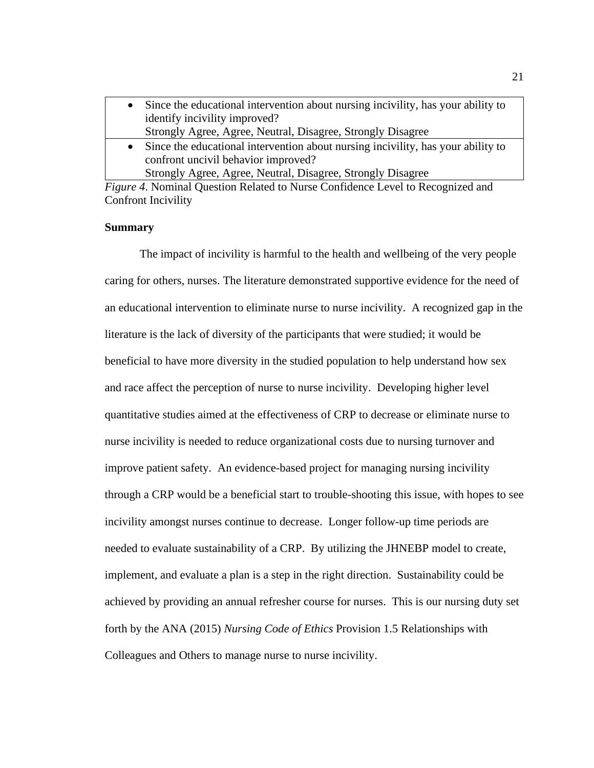| • Since the educational intervention about nursing incivility, has your ability to |
|------------------------------------------------------------------------------------|
| identify incivility improved?                                                      |
| Strongly Agree, Agree, Neutral, Disagree, Strongly Disagree                        |
| • Since the educational intervention about nursing incivility, has your ability to |

confront uncivil behavior improved? Strongly Agree, Agree, Neutral, Disagree, Strongly Disagree

*Figure 4*. Nominal Question Related to Nurse Confidence Level to Recognized and Confront Incivility

#### **Summary**

The impact of incivility is harmful to the health and wellbeing of the very people caring for others, nurses. The literature demonstrated supportive evidence for the need of an educational intervention to eliminate nurse to nurse incivility. A recognized gap in the literature is the lack of diversity of the participants that were studied; it would be beneficial to have more diversity in the studied population to help understand how sex and race affect the perception of nurse to nurse incivility. Developing higher level quantitative studies aimed at the effectiveness of CRP to decrease or eliminate nurse to nurse incivility is needed to reduce organizational costs due to nursing turnover and improve patient safety. An evidence-based project for managing nursing incivility through a CRP would be a beneficial start to trouble-shooting this issue, with hopes to see incivility amongst nurses continue to decrease. Longer follow-up time periods are needed to evaluate sustainability of a CRP. By utilizing the JHNEBP model to create, implement, and evaluate a plan is a step in the right direction. Sustainability could be achieved by providing an annual refresher course for nurses. This is our nursing duty set forth by the ANA (2015) *Nursing Code of Ethics* Provision 1.5 Relationships with Colleagues and Others to manage nurse to nurse incivility.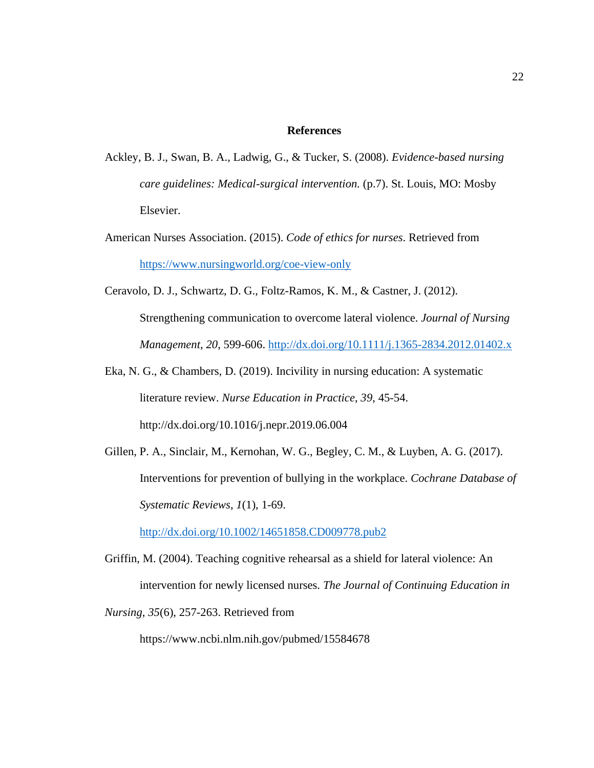#### **References**

- Ackley, B. J., Swan, B. A., Ladwig, G., & Tucker, S. (2008). *Evidence-based nursing care guidelines: Medical-surgical intervention.* (p.7). St. Louis, MO: Mosby Elsevier.
- American Nurses Association. (2015). *Code of ethics for nurses*. Retrieved from <https://www.nursingworld.org/coe-view-only>
- Ceravolo, D. J., Schwartz, D. G., Foltz-Ramos, K. M., & Castner, J. (2012). Strengthening communication to overcome lateral violence. *Journal of Nursing Management*, *20*, 599-606.<http://dx.doi.org/10.1111/j.1365-2834.2012.01402.x>
- Eka, N. G., & Chambers, D. (2019). Incivility in nursing education: A systematic literature review. *Nurse Education in Practice*, *39*, 45-54. http://dx.doi.org/10.1016/j.nepr.2019.06.004
- Gillen, P. A., Sinclair, M., Kernohan, W. G., Begley, C. M., & Luyben, A. G. (2017). Interventions for prevention of bullying in the workplace. *Cochrane Database of Systematic Reviews*, *1*(1), 1-69.

<http://dx.doi.org/10.1002/14651858.CD009778.pub2>

Griffin, M. (2004). Teaching cognitive rehearsal as a shield for lateral violence: An intervention for newly licensed nurses. *The Journal of Continuing Education in* 

*Nursing*, *35*(6), 257-263. Retrieved from

https://www.ncbi.nlm.nih.gov/pubmed/15584678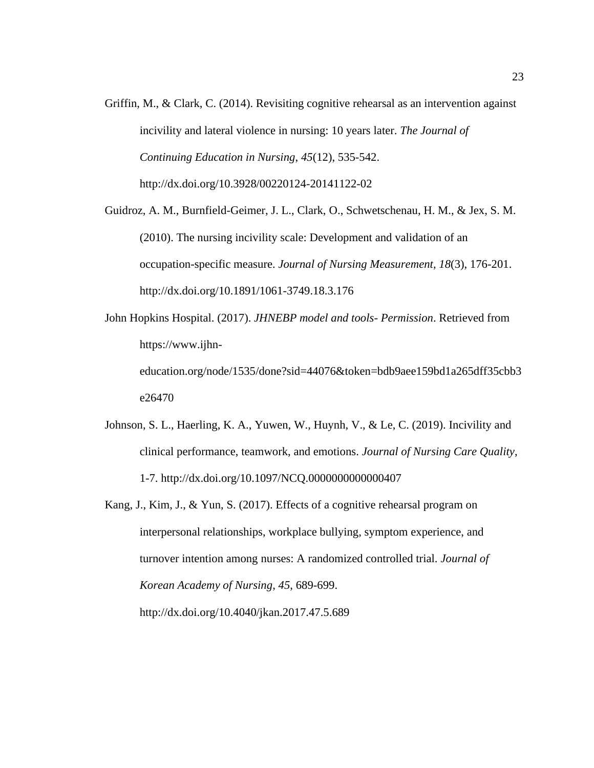- Griffin, M., & Clark, C. (2014). Revisiting cognitive rehearsal as an intervention against incivility and lateral violence in nursing: 10 years later. *The Journal of Continuing Education in Nursing*, *45*(12), 535-542. http://dx.doi.org/10.3928/00220124-20141122-02
- Guidroz, A. M., Burnfield-Geimer, J. L., Clark, O., Schwetschenau, H. M., & Jex, S. M. (2010). The nursing incivility scale: Development and validation of an occupation-specific measure. *Journal of Nursing Measurement*, *18*(3), 176-201. http://dx.doi.org/10.1891/1061-3749.18.3.176
- John Hopkins Hospital. (2017). *JHNEBP model and tools- Permission*. Retrieved from https://www.ijhneducation.org/node/1535/done?sid=44076&token=bdb9aee159bd1a265dff35cbb3 e26470
- Johnson, S. L., Haerling, K. A., Yuwen, W., Huynh, V., & Le, C. (2019). Incivility and clinical performance, teamwork, and emotions. *Journal of Nursing Care Quality*, 1-7. http://dx.doi.org/10.1097/NCQ.0000000000000407
- Kang, J., Kim, J., & Yun, S. (2017). Effects of a cognitive rehearsal program on interpersonal relationships, workplace bullying, symptom experience, and turnover intention among nurses: A randomized controlled trial. *Journal of Korean Academy of Nursing*, *45*, 689-699.

http://dx.doi.org/10.4040/jkan.2017.47.5.689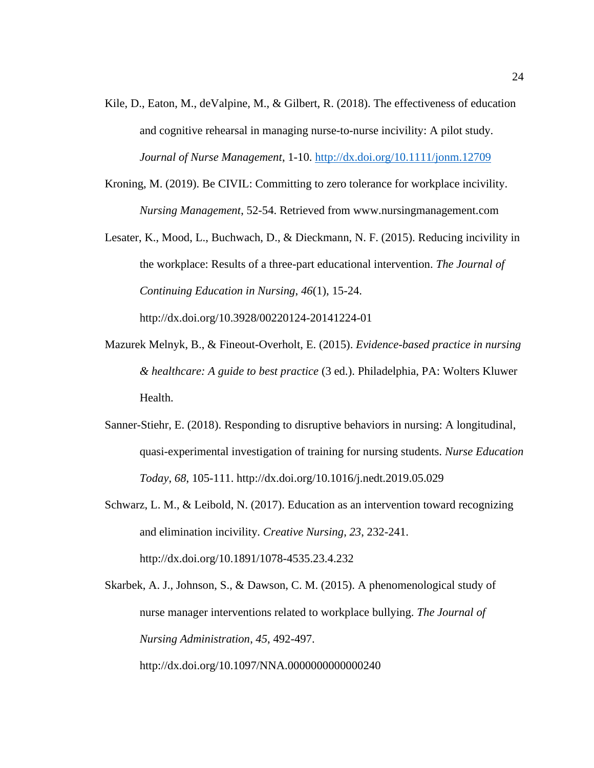- Kile, D., Eaton, M., deValpine, M., & Gilbert, R. (2018). The effectiveness of education and cognitive rehearsal in managing nurse-to-nurse incivility: A pilot study. *Journal of Nurse Management*, 1-10.<http://dx.doi.org/10.1111/jonm.12709>
- Kroning, M. (2019). Be CIVIL: Committing to zero tolerance for workplace incivility. *Nursing Management*, 52-54. Retrieved from www.nursingmanagement.com
- Lesater, K., Mood, L., Buchwach, D., & Dieckmann, N. F. (2015). Reducing incivility in the workplace: Results of a three-part educational intervention. *The Journal of Continuing Education in Nursing*, *46*(1), 15-24.

http://dx.doi.org/10.3928/00220124-20141224-01

- Mazurek Melnyk, B., & Fineout-Overholt, E. (2015). *Evidence-based practice in nursing & healthcare: A guide to best practice* (3 ed.). Philadelphia, PA: Wolters Kluwer Health.
- Sanner-Stiehr, E. (2018). Responding to disruptive behaviors in nursing: A longitudinal, quasi-experimental investigation of training for nursing students. *Nurse Education Today*, *68*, 105-111. http://dx.doi.org/10.1016/j.nedt.2019.05.029
- Schwarz, L. M., & Leibold, N. (2017). Education as an intervention toward recognizing and elimination incivility. *Creative Nursing*, *23*, 232-241. http://dx.doi.org/10.1891/1078-4535.23.4.232

Skarbek, A. J., Johnson, S., & Dawson, C. M. (2015). A phenomenological study of nurse manager interventions related to workplace bullying. *The Journal of Nursing Administration*, *45*, 492-497. http://dx.doi.org/10.1097/NNA.0000000000000240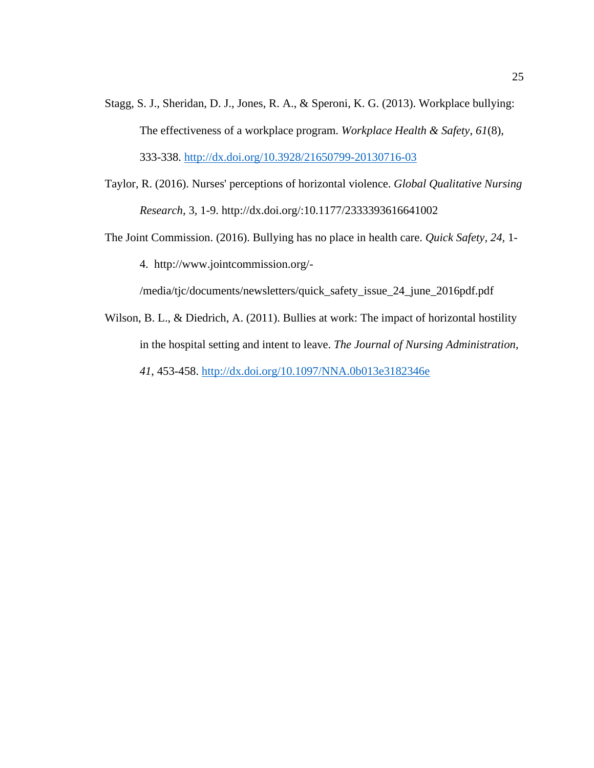- Stagg, S. J., Sheridan, D. J., Jones, R. A., & Speroni, K. G. (2013). Workplace bullying: The effectiveness of a workplace program. *Workplace Health & Safety*, *61*(8), 333-338.<http://dx.doi.org/10.3928/21650799-20130716-03>
- Taylor, R. (2016). Nurses' perceptions of horizontal violence. *Global Qualitative Nursing Research,* 3, 1-9. http://dx.doi.org/:10.1177/2333393616641002

The Joint Commission. (2016). Bullying has no place in health care. *Quick Safety, 24,* 1- 4. http://www.jointcommission.org/-

/media/tjc/documents/newsletters/quick\_safety\_issue\_24\_june\_2016pdf.pdf

Wilson, B. L., & Diedrich, A. (2011). Bullies at work: The impact of horizontal hostility in the hospital setting and intent to leave. *The Journal of Nursing Administration*, *41*, 453-458.<http://dx.doi.org/10.1097/NNA.0b013e3182346e>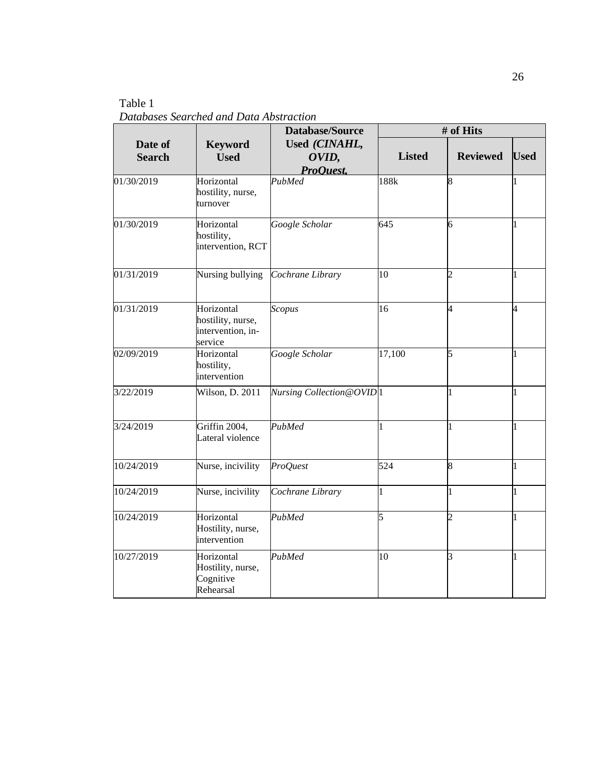Table 1 *Databases Searched and Data Abstraction*

|                          | <b>Database/Source</b>                                          |                                     | # of Hits      |                          |                |  |
|--------------------------|-----------------------------------------------------------------|-------------------------------------|----------------|--------------------------|----------------|--|
| Date of<br><b>Search</b> | <b>Keyword</b><br><b>Used</b>                                   | Used (CINAHL,<br>OVID,<br>ProOuest. | <b>Listed</b>  | <b>Reviewed</b>          | <b>Used</b>    |  |
| 01/30/2019               | Horizontal<br>hostility, nurse,<br>turnover                     | PubMed                              | 188k           | 8                        | 1              |  |
| 01/30/2019               | Horizontal<br>hostility,<br>intervention, RCT                   | Google Scholar                      | 645            | 6                        | 1              |  |
| 01/31/2019               | Nursing bullying                                                | Cochrane Library                    | 10             | $\overline{c}$           | $\mathbf{1}$   |  |
| 01/31/2019               | Horizontal<br>hostility, nurse,<br>intervention, in-<br>service | Scopus                              | 16             | $\overline{\mathcal{A}}$ | 4              |  |
| 02/09/2019               | Horizontal<br>hostility,<br>intervention                        | Google Scholar                      | 17,100         | 5                        | 1              |  |
| 3/22/2019                | Wilson, $\overline{D. 2011}$                                    | Nursing Collection@OVID1            |                | 1                        | $\mathbf{1}$   |  |
| 3/24/2019                | Griffin 2004,<br>Lateral violence                               | PubMed                              | 1              | 1                        | $\mathbf{1}$   |  |
| 10/24/2019               | Nurse, incivility                                               | <b>ProQuest</b>                     | 524            | 8                        | 1              |  |
| 10/24/2019               | Nurse, incivility                                               | Cochrane Library                    | $\overline{1}$ | 1                        | $\overline{1}$ |  |
| 10/24/2019               | Horizontal<br>Hostility, nurse,<br>intervention                 | PubMed                              | 5              | $\overline{c}$           | $\mathbf{1}$   |  |
| 10/27/2019               | Horizontal<br>Hostility, nurse,<br>Cognitive<br>Rehearsal       | PubMed                              | 10             | R,                       | $\mathbf{1}$   |  |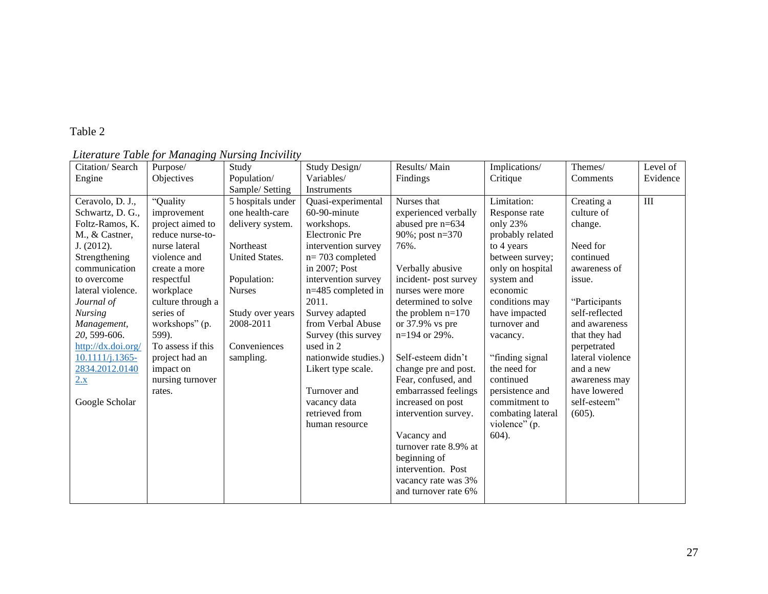# Table 2

# *Literature Table for Managing Nursing Incivility*

| Citation/Search    | Purpose/          | Study             | Study Design/        | Results/Main          | Implications/     | Themes/          | Level of         |
|--------------------|-------------------|-------------------|----------------------|-----------------------|-------------------|------------------|------------------|
| Engine             | Objectives        | Population/       | Variables/           | Findings              | Critique          | Comments         | Evidence         |
|                    |                   | Sample/ Setting   | Instruments          |                       |                   |                  |                  |
| Ceravolo, D. J.,   | "Quality          | 5 hospitals under | Quasi-experimental   | Nurses that           | Limitation:       | Creating a       | $\overline{III}$ |
| Schwartz, D. G.,   | improvement       | one health-care   | 60-90-minute         | experienced verbally  | Response rate     | culture of       |                  |
| Foltz-Ramos, K.    | project aimed to  | delivery system.  | workshops.           | abused pre n=634      | only 23%          | change.          |                  |
| M., & Castner,     | reduce nurse-to-  |                   | Electronic Pre       | 90%; post n=370       | probably related  |                  |                  |
| J. (2012).         | nurse lateral     | Northeast         | intervention survey  | 76%.                  | to 4 years        | Need for         |                  |
| Strengthening      | violence and      | United States.    | $n=703$ completed    |                       | between survey;   | continued        |                  |
| communication      | create a more     |                   | in 2007; Post        | Verbally abusive      | only on hospital  | awareness of     |                  |
| to overcome        | respectful        | Population:       | intervention survey  | incident-post survey  | system and        | issue.           |                  |
| lateral violence.  | workplace         | <b>Nurses</b>     | n=485 completed in   | nurses were more      | economic          |                  |                  |
| Journal of         | culture through a |                   | 2011.                | determined to solve   | conditions may    | "Participants    |                  |
| <b>Nursing</b>     | series of         | Study over years  | Survey adapted       | the problem $n=170$   | have impacted     | self-reflected   |                  |
| Management,        | workshops" (p.    | 2008-2011         | from Verbal Abuse    | or $37.9\%$ vs pre    | turnover and      | and awareness    |                  |
| 20, 599-606.       | 599).             |                   | Survey (this survey  | n=194 or 29%.         | vacancy.          | that they had    |                  |
| http://dx.doi.org/ | To assess if this | Conveniences      | used in 2            |                       |                   | perpetrated      |                  |
| $10.1111/j.1365-$  | project had an    | sampling.         | nationwide studies.) | Self-esteem didn't    | "finding signal   | lateral violence |                  |
| 2834.2012.0140     | impact on         |                   | Likert type scale.   | change pre and post.  | the need for      | and a new        |                  |
| 2.x                | nursing turnover  |                   |                      | Fear, confused, and   | continued         | awareness may    |                  |
|                    | rates.            |                   | Turnover and         | embarrassed feelings  | persistence and   | have lowered     |                  |
| Google Scholar     |                   |                   | vacancy data         | increased on post     | commitment to     | self-esteem"     |                  |
|                    |                   |                   | retrieved from       | intervention survey.  | combating lateral | (605).           |                  |
|                    |                   |                   | human resource       |                       | violence" (p.     |                  |                  |
|                    |                   |                   |                      | Vacancy and           | $604$ ).          |                  |                  |
|                    |                   |                   |                      | turnover rate 8.9% at |                   |                  |                  |
|                    |                   |                   |                      | beginning of          |                   |                  |                  |
|                    |                   |                   |                      | intervention. Post    |                   |                  |                  |
|                    |                   |                   |                      | vacancy rate was 3%   |                   |                  |                  |
|                    |                   |                   |                      | and turnover rate 6%  |                   |                  |                  |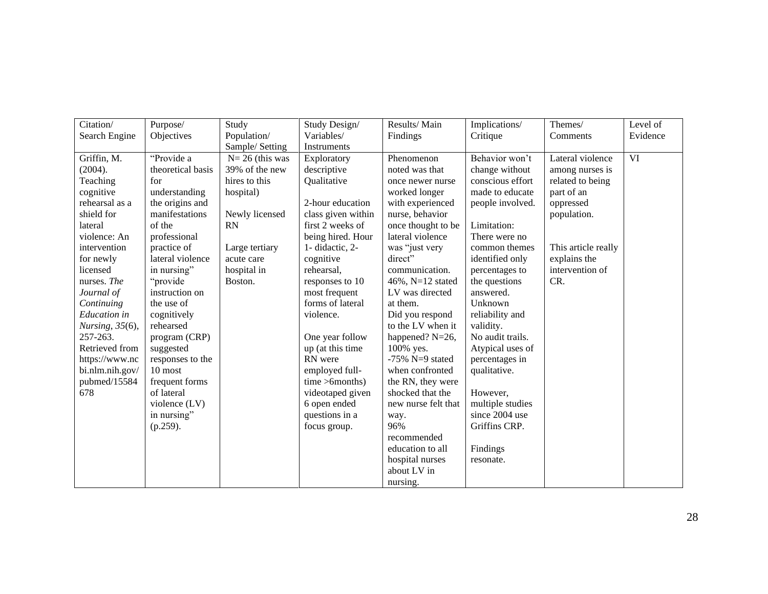| Citation/       | Purpose/          | Study              | Study Design/      | Results/Main        | Implications/    | Themes/             | Level of |
|-----------------|-------------------|--------------------|--------------------|---------------------|------------------|---------------------|----------|
| Search Engine   | Objectives        | Population/        | Variables/         | Findings            | Critique         | Comments            | Evidence |
|                 |                   | Sample/ Setting    | Instruments        |                     |                  |                     |          |
| Griffin, M.     | "Provide a        | $N = 26$ (this was | Exploratory        | Phenomenon          | Behavior won't   | Lateral violence    | VI       |
| (2004).         | theoretical basis | 39% of the new     | descriptive        | noted was that      | change without   | among nurses is     |          |
| Teaching        | for               | hires to this      | Qualitative        | once newer nurse    | conscious effort | related to being    |          |
| cognitive       | understanding     | hospital)          |                    | worked longer       | made to educate  | part of an          |          |
| rehearsal as a  | the origins and   |                    | 2-hour education   | with experienced    | people involved. | oppressed           |          |
| shield for      | manifestations    | Newly licensed     | class given within | nurse, behavior     |                  | population.         |          |
| lateral         | of the            | <b>RN</b>          | first 2 weeks of   | once thought to be  | Limitation:      |                     |          |
| violence: An    | professional      |                    | being hired. Hour  | lateral violence    | There were no    |                     |          |
| intervention    | practice of       | Large tertiary     | 1-didactic, 2-     | was "just very      | common themes    | This article really |          |
| for newly       | lateral violence  | acute care         | cognitive          | direct"             | identified only  | explains the        |          |
| licensed        | in nursing"       | hospital in        | rehearsal,         | communication.      | percentages to   | intervention of     |          |
| nurses. The     | "provide          | Boston.            | responses to 10    | 46%, N=12 stated    | the questions    | CR.                 |          |
| Journal of      | instruction on    |                    | most frequent      | LV was directed     | answered.        |                     |          |
| Continuing      | the use of        |                    | forms of lateral   | at them.            | Unknown          |                     |          |
| Education in    | cognitively       |                    | violence.          | Did you respond     | reliability and  |                     |          |
| Nursing, 35(6), | rehearsed         |                    |                    | to the LV when it   | validity.        |                     |          |
| 257-263.        | program (CRP)     |                    | One year follow    | happened? N=26,     | No audit trails. |                     |          |
| Retrieved from  | suggested         |                    | up (at this time   | 100% yes.           | Atypical uses of |                     |          |
| https://www.nc  | responses to the  |                    | RN were            | -75% $N=9$ stated   | percentages in   |                     |          |
| bi.nlm.nih.gov/ | 10 most           |                    | employed full-     | when confronted     | qualitative.     |                     |          |
| pubmed/15584    | frequent forms    |                    | $time > 6$ months) | the RN, they were   |                  |                     |          |
| 678             | of lateral        |                    | videotaped given   | shocked that the    | However,         |                     |          |
|                 | violence $(LV)$   |                    | 6 open ended       | new nurse felt that | multiple studies |                     |          |
|                 | in nursing"       |                    | questions in a     | way.                | since 2004 use   |                     |          |
|                 | $(p.259)$ .       |                    | focus group.       | 96%                 | Griffins CRP.    |                     |          |
|                 |                   |                    |                    | recommended         |                  |                     |          |
|                 |                   |                    |                    | education to all    | Findings         |                     |          |
|                 |                   |                    |                    | hospital nurses     | resonate.        |                     |          |
|                 |                   |                    |                    | about LV in         |                  |                     |          |
|                 |                   |                    |                    | nursing.            |                  |                     |          |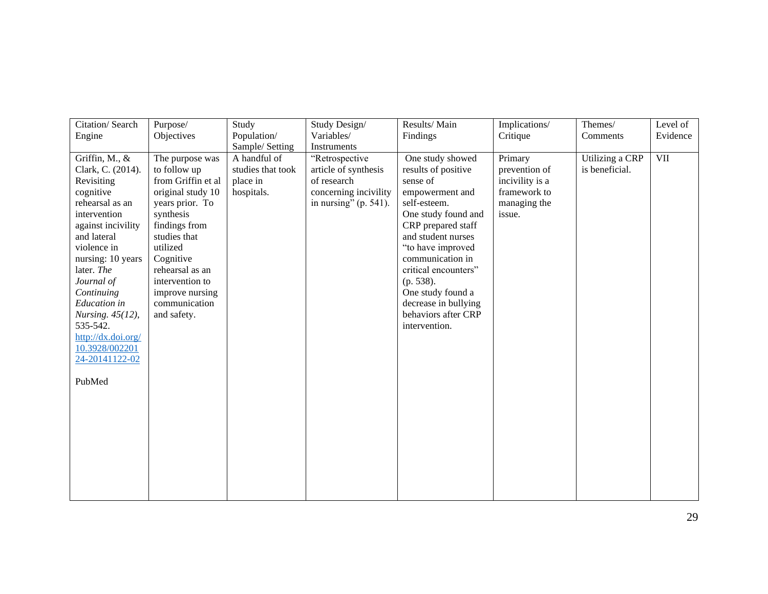| Citation/Search                                                                                                                                                                                                                                                                                                                          | Purpose/                                                                                                                                                                                                                                                      | Study                                                       | Study Design/                                                                                              | Results/Main                                                                                                                                                                                                                                                                                                                 | Implications/                                                                         | Themes/                           | Level of |
|------------------------------------------------------------------------------------------------------------------------------------------------------------------------------------------------------------------------------------------------------------------------------------------------------------------------------------------|---------------------------------------------------------------------------------------------------------------------------------------------------------------------------------------------------------------------------------------------------------------|-------------------------------------------------------------|------------------------------------------------------------------------------------------------------------|------------------------------------------------------------------------------------------------------------------------------------------------------------------------------------------------------------------------------------------------------------------------------------------------------------------------------|---------------------------------------------------------------------------------------|-----------------------------------|----------|
| Engine                                                                                                                                                                                                                                                                                                                                   | Objectives                                                                                                                                                                                                                                                    | Population/                                                 | Variables/                                                                                                 | Findings                                                                                                                                                                                                                                                                                                                     | Critique                                                                              | Comments                          | Evidence |
|                                                                                                                                                                                                                                                                                                                                          |                                                                                                                                                                                                                                                               | Sample/ Setting                                             | Instruments                                                                                                |                                                                                                                                                                                                                                                                                                                              |                                                                                       |                                   |          |
| Griffin, M., &<br>Clark, C. (2014).<br>Revisiting<br>cognitive<br>rehearsal as an<br>intervention<br>against incivility<br>and lateral<br>violence in<br>nursing: 10 years<br>later. The<br>Journal of<br>Continuing<br>Education in<br>Nursing. 45(12),<br>535-542.<br>http://dx.doi.org/<br>10.3928/002201<br>24-20141122-02<br>PubMed | The purpose was<br>to follow up<br>from Griffin et al<br>original study 10<br>years prior. To<br>synthesis<br>findings from<br>studies that<br>utilized<br>Cognitive<br>rehearsal as an<br>intervention to<br>improve nursing<br>communication<br>and safety. | A handful of<br>studies that took<br>place in<br>hospitals. | "Retrospective<br>article of synthesis<br>of research<br>concerning incivility<br>in nursing" $(p. 541)$ . | One study showed<br>results of positive<br>sense of<br>empowerment and<br>self-esteem.<br>One study found and<br>CRP prepared staff<br>and student nurses<br>"to have improved<br>communication in<br>critical encounters"<br>(p. 538).<br>One study found a<br>decrease in bullying<br>behaviors after CRP<br>intervention. | Primary<br>prevention of<br>incivility is a<br>framework to<br>managing the<br>issue. | Utilizing a CRP<br>is beneficial. | VII      |
|                                                                                                                                                                                                                                                                                                                                          |                                                                                                                                                                                                                                                               |                                                             |                                                                                                            |                                                                                                                                                                                                                                                                                                                              |                                                                                       |                                   |          |
|                                                                                                                                                                                                                                                                                                                                          |                                                                                                                                                                                                                                                               |                                                             |                                                                                                            |                                                                                                                                                                                                                                                                                                                              |                                                                                       |                                   |          |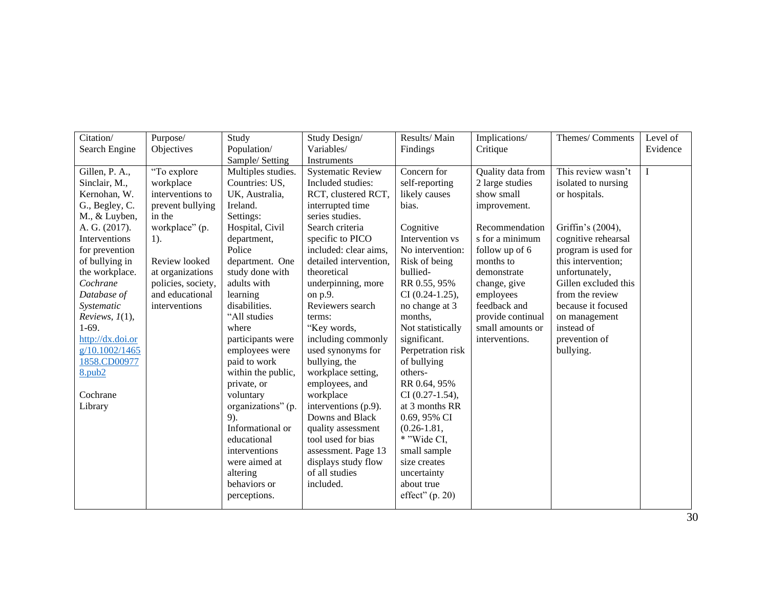| Citation/          | Purpose/           | Study              | Study Design/            | Results/Main      | Implications/     | Themes/Comments      | Level of |
|--------------------|--------------------|--------------------|--------------------------|-------------------|-------------------|----------------------|----------|
| Search Engine      | Objectives         | Population/        | Variables/               | Findings          | Critique          |                      | Evidence |
|                    |                    | Sample/ Setting    | Instruments              |                   |                   |                      |          |
| Gillen, P. A.,     | "To explore        | Multiples studies. | <b>Systematic Review</b> | Concern for       | Quality data from | This review wasn't   | $\bf{I}$ |
| Sinclair, M.,      | workplace          | Countries: US,     | Included studies:        | self-reporting    | 2 large studies   | isolated to nursing  |          |
| Kernohan, W.       | interventions to   | UK, Australia,     | RCT, clustered RCT,      | likely causes     | show small        | or hospitals.        |          |
| G., Begley, C.     | prevent bullying   | Ireland.           | interrupted time         | bias.             | improvement.      |                      |          |
| M., & Luyben,      | in the             | Settings:          | series studies.          |                   |                   |                      |          |
| A. G. (2017).      | workplace" (p.     | Hospital, Civil    | Search criteria          | Cognitive         | Recommendation    | Griffin's (2004),    |          |
| Interventions      | $1$ ).             | department,        | specific to PICO         | Intervention vs   | s for a minimum   | cognitive rehearsal  |          |
| for prevention     |                    | Police             | included: clear aims,    | No intervention:  | follow up of 6    | program is used for  |          |
| of bullying in     | Review looked      | department. One    | detailed intervention,   | Risk of being     | months to         | this intervention;   |          |
| the workplace.     | at organizations   | study done with    | theoretical              | bullied-          | demonstrate       | unfortunately,       |          |
| Cochrane           | policies, society, | adults with        | underpinning, more       | RR 0.55, 95%      | change, give      | Gillen excluded this |          |
| Database of        | and educational    | learning           | on p.9.                  | $CI(0.24-1.25),$  | employees         | from the review      |          |
| Systematic         | interventions      | disabilities.      | Reviewers search         | no change at 3    | feedback and      | because it focused   |          |
| Reviews, $I(1)$ ,  |                    | "All studies       | terms:                   | months,           | provide continual | on management        |          |
| $1-69.$            |                    | where              | "Key words,              | Not statistically | small amounts or  | instead of           |          |
| http://dx.doi.or   |                    | participants were  | including commonly       | significant.      | interventions.    | prevention of        |          |
| g/10.1002/1465     |                    | employees were     | used synonyms for        | Perpetration risk |                   | bullying.            |          |
| 1858.CD00977       |                    | paid to work       | bullying, the            | of bullying       |                   |                      |          |
| 8.pub <sub>2</sub> |                    | within the public, | workplace setting,       | others-           |                   |                      |          |
|                    |                    | private, or        | employees, and           | RR 0.64, 95%      |                   |                      |          |
| Cochrane           |                    | voluntary          | workplace                | $CI(0.27-1.54),$  |                   |                      |          |
| Library            |                    | organizations" (p. | interventions (p.9).     | at 3 months RR    |                   |                      |          |
|                    |                    | 9).                | Downs and Black          | 0.69, 95% CI      |                   |                      |          |
|                    |                    | Informational or   | quality assessment       | $(0.26 - 1.81,$   |                   |                      |          |
|                    |                    | educational        | tool used for bias       | * "Wide CI,       |                   |                      |          |
|                    |                    | interventions      | assessment. Page 13      | small sample      |                   |                      |          |
|                    |                    | were aimed at      | displays study flow      | size creates      |                   |                      |          |
|                    |                    | altering           | of all studies           | uncertainty       |                   |                      |          |
|                    |                    | behaviors or       | included.                | about true        |                   |                      |          |
|                    |                    | perceptions.       |                          | effect" $(p. 20)$ |                   |                      |          |
|                    |                    |                    |                          |                   |                   |                      |          |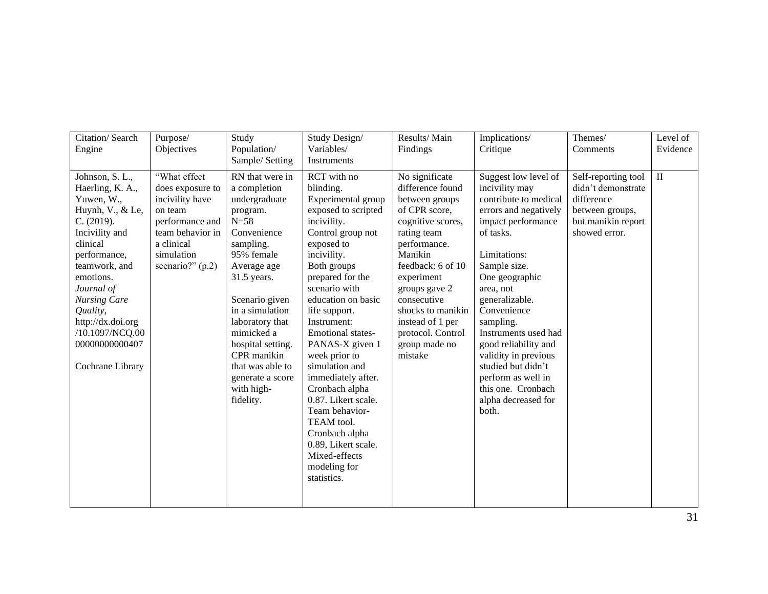| Citation/Search<br>Engine                                                                                                                                                                                                                                                                      | Purpose/<br>Objectives                                                                                                                                  | Study<br>Population/<br>Sample/ Setting                                                                                                                                                                                                                                                                                     | Study Design/<br>Variables/<br>Instruments                                                                                                                                                                                                                                                                                                                                                                                                                                                                          | Results/Main<br>Findings                                                                                                                                                                                                                                                                          | Implications/<br>Critique                                                                                                                                                                                                                                                                                                                                                                                          | Themes/<br>Comments                                                                                               | Level of<br>Evidence |
|------------------------------------------------------------------------------------------------------------------------------------------------------------------------------------------------------------------------------------------------------------------------------------------------|---------------------------------------------------------------------------------------------------------------------------------------------------------|-----------------------------------------------------------------------------------------------------------------------------------------------------------------------------------------------------------------------------------------------------------------------------------------------------------------------------|---------------------------------------------------------------------------------------------------------------------------------------------------------------------------------------------------------------------------------------------------------------------------------------------------------------------------------------------------------------------------------------------------------------------------------------------------------------------------------------------------------------------|---------------------------------------------------------------------------------------------------------------------------------------------------------------------------------------------------------------------------------------------------------------------------------------------------|--------------------------------------------------------------------------------------------------------------------------------------------------------------------------------------------------------------------------------------------------------------------------------------------------------------------------------------------------------------------------------------------------------------------|-------------------------------------------------------------------------------------------------------------------|----------------------|
| Johnson, S. L.,<br>Haerling, K. A.,<br>Yuwen, W.,<br>Huynh, V., & Le,<br>C. (2019).<br>Incivility and<br>clinical<br>performance,<br>teamwork, and<br>emotions.<br>Journal of<br><b>Nursing Care</b><br>Quality,<br>http://dx.doi.org<br>/10.1097/NCQ.00<br>00000000000407<br>Cochrane Library | "What effect<br>does exposure to<br>incivility have<br>on team<br>performance and<br>team behavior in<br>a clinical<br>simulation<br>scenario?" $(p.2)$ | RN that were in<br>a completion<br>undergraduate<br>program.<br>$N=58$<br>Convenience<br>sampling.<br>95% female<br>Average age<br>31.5 years.<br>Scenario given<br>in a simulation<br>laboratory that<br>mimicked a<br>hospital setting.<br>CPR manikin<br>that was able to<br>generate a score<br>with high-<br>fidelity. | RCT with no<br>blinding.<br>Experimental group<br>exposed to scripted<br>incivility.<br>Control group not<br>exposed to<br>incivility.<br>Both groups<br>prepared for the<br>scenario with<br>education on basic<br>life support.<br>Instrument:<br>Emotional states-<br>PANAS-X given 1<br>week prior to<br>simulation and<br>immediately after.<br>Cronbach alpha<br>0.87. Likert scale.<br>Team behavior-<br>TEAM tool.<br>Cronbach alpha<br>0.89, Likert scale.<br>Mixed-effects<br>modeling for<br>statistics. | No significate<br>difference found<br>between groups<br>of CPR score,<br>cognitive scores,<br>rating team<br>performance.<br>Manikin<br>feedback: 6 of 10<br>experiment<br>groups gave 2<br>consecutive<br>shocks to manikin<br>instead of 1 per<br>protocol. Control<br>group made no<br>mistake | Suggest low level of<br>incivility may<br>contribute to medical<br>errors and negatively<br>impact performance<br>of tasks.<br>Limitations:<br>Sample size.<br>One geographic<br>area, not<br>generalizable.<br>Convenience<br>sampling.<br>Instruments used had<br>good reliability and<br>validity in previous<br>studied but didn't<br>perform as well in<br>this one. Cronbach<br>alpha decreased for<br>both. | Self-reporting tool<br>didn't demonstrate<br>difference<br>between groups,<br>but manikin report<br>showed error. | $\mathbf{I}$         |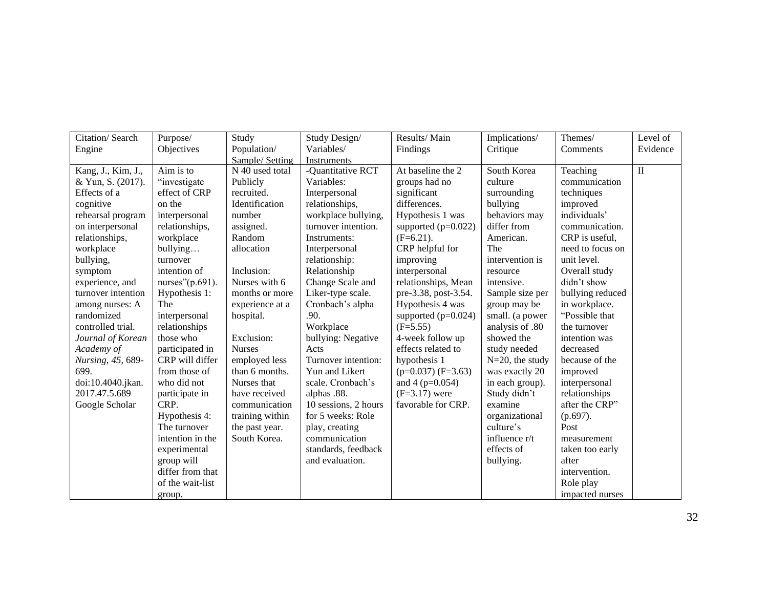| Citation/ Search   | Purpose/         | Study           | Study Design/        | Results/Main          | Implications/      | Themes/          | Level of     |
|--------------------|------------------|-----------------|----------------------|-----------------------|--------------------|------------------|--------------|
| Engine             | Objectives       | Population/     | Variables/           | Findings              | Critique           | Comments         | Evidence     |
|                    |                  | Sample/Setting  | Instruments          |                       |                    |                  |              |
| Kang, J., Kim, J., | Aim is to        | N 40 used total | -Quantitative RCT    | At baseline the 2     | South Korea        | Teaching         | $\mathbf{I}$ |
| & Yun, S. (2017).  | "investigate"    | Publicly        | Variables:           | groups had no         | culture            | communication    |              |
| Effects of a       | effect of CRP    | recruited.      | Interpersonal        | significant           | surrounding        | techniques       |              |
| cognitive          | on the           | Identification  | relationships,       | differences.          | bullying           | improved         |              |
| rehearsal program  | interpersonal    | number          | workplace bullying,  | Hypothesis 1 was      | behaviors may      | individuals'     |              |
| on interpersonal   | relationships,   | assigned.       | turnover intention.  | supported $(p=0.022)$ | differ from        | communication.   |              |
| relationships,     | workplace        | Random          | Instruments:         | $(F=6.21)$ .          | American.          | CRP is useful,   |              |
| workplace          | bullying         | allocation      | Interpersonal        | CRP helpful for       | The                | need to focus on |              |
| bullying,          | turnover         |                 | relationship:        | improving             | intervention is    | unit level.      |              |
| symptom            | intention of     | Inclusion:      | Relationship         | interpersonal         | resource           | Overall study    |              |
| experience, and    | nurses"(p.691).  | Nurses with 6   | Change Scale and     | relationships, Mean   | intensive.         | didn't show      |              |
| turnover intention | Hypothesis 1:    | months or more  | Liker-type scale.    | pre-3.38, post-3.54.  | Sample size per    | bullying reduced |              |
| among nurses: A    | The              | experience at a | Cronbach's alpha     | Hypothesis 4 was      | group may be       | in workplace.    |              |
| randomized         | interpersonal    | hospital.       | .90.                 | supported $(p=0.024)$ | small. (a power    | "Possible that   |              |
| controlled trial.  | relationships    |                 | Workplace            | $(F=5.55)$            | analysis of .80    | the turnover     |              |
| Journal of Korean  | those who        | Exclusion:      | bullying: Negative   | 4-week follow up      | showed the         | intention was    |              |
| Academy of         | participated in  | <b>Nurses</b>   | Acts                 | effects related to    | study needed       | decreased        |              |
| Nursing, 45, 689-  | CRP will differ  | employed less   | Turnover intention:  | hypothesis 1          | $N=20$ , the study | because of the   |              |
| 699.               | from those of    | than 6 months.  | Yun and Likert       | $(p=0.037)$ (F=3.63)  | was exactly 20     | improved         |              |
| doi:10.4040.jkan.  | who did not      | Nurses that     | scale. Cronbach's    | and 4 ( $p=0.054$ )   | in each group).    | interpersonal    |              |
| 2017.47.5.689      | participate in   | have received   | alphas .88.          | $(F=3.17)$ were       | Study didn't       | relationships    |              |
| Google Scholar     | CRP.             | communication   | 10 sessions, 2 hours | favorable for CRP.    | examine            | after the CRP"   |              |
|                    | Hypothesis 4:    | training within | for 5 weeks: Role    |                       | organizational     | $(p.697)$ .      |              |
|                    | The turnover     | the past year.  | play, creating       |                       | culture's          | Post             |              |
|                    | intention in the | South Korea.    | communication        |                       | influence r/t      | measurement      |              |
|                    | experimental     |                 | standards, feedback  |                       | effects of         | taken too early  |              |
|                    | group will       |                 | and evaluation.      |                       | bullying.          | after            |              |
|                    | differ from that |                 |                      |                       |                    | intervention.    |              |
|                    | of the wait-list |                 |                      |                       |                    | Role play        |              |
|                    | group.           |                 |                      |                       |                    | impacted nurses  |              |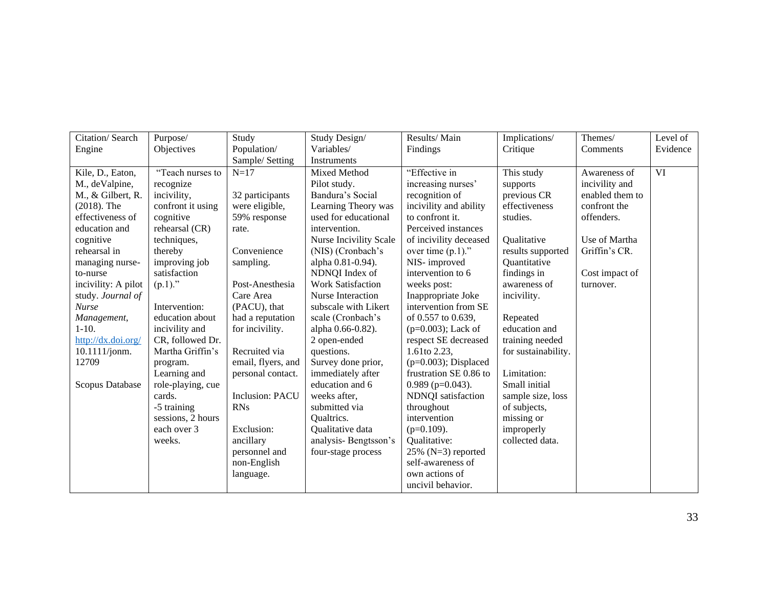| Citation/Search     | Purpose/          | Study              | Study Design/                 | Results/Main            | Implications/       | Themes/         | Level of  |
|---------------------|-------------------|--------------------|-------------------------------|-------------------------|---------------------|-----------------|-----------|
| Engine              | Objectives        | Population/        | Variables/                    | Findings                | Critique            | Comments        | Evidence  |
|                     |                   | Sample/ Setting    | <b>Instruments</b>            |                         |                     |                 |           |
| Kile, D., Eaton,    | "Teach nurses to  | $N=17$             | Mixed Method                  | "Effective in           | This study          | Awareness of    | <b>VI</b> |
| M., deValpine,      | recognize         |                    | Pilot study.                  | increasing nurses'      | supports            | incivility and  |           |
| M., & Gilbert, R.   | incivility,       | 32 participants    | Bandura's Social              | recognition of          | previous CR         | enabled them to |           |
| $(2018)$ . The      | confront it using | were eligible,     | Learning Theory was           | incivility and ability  | effectiveness       | confront the    |           |
| effectiveness of    | cognitive         | 59% response       | used for educational          | to confront it.         | studies.            | offenders.      |           |
| education and       | rehearsal (CR)    | rate.              | intervention.                 | Perceived instances     |                     |                 |           |
| cognitive           | techniques,       |                    | <b>Nurse Incivility Scale</b> | of incivility deceased  | Qualitative         | Use of Martha   |           |
| rehearsal in        | thereby           | Convenience        | (NIS) (Cronbach's             | over time $(p.1)$ ."    | results supported   | Griffin's CR.   |           |
| managing nurse-     | improving job     | sampling.          | alpha 0.81-0.94).             | NIS-improved            | Quantitative        |                 |           |
| to-nurse            | satisfaction      |                    | NDNQI Index of                | intervention to 6       | findings in         | Cost impact of  |           |
| incivility: A pilot | $(p.1)$ ."        | Post-Anesthesia    | <b>Work Satisfaction</b>      | weeks post:             | awareness of        | turnover.       |           |
| study. Journal of   |                   | Care Area          | Nurse Interaction             | Inappropriate Joke      | incivility.         |                 |           |
| <b>Nurse</b>        | Intervention:     | (PACU), that       | subscale with Likert          | intervention from SE    |                     |                 |           |
| Management,         | education about   | had a reputation   | scale (Cronbach's             | of 0.557 to 0.639,      | Repeated            |                 |           |
| $1 - 10.$           | incivility and    | for incivility.    | alpha 0.66-0.82).             | $(p=0.003)$ ; Lack of   | education and       |                 |           |
| http://dx.doi.org/  | CR, followed Dr.  |                    | 2 open-ended                  | respect SE decreased    | training needed     |                 |           |
| 10.1111/jonm.       | Martha Griffin's  | Recruited via      | questions.                    | 1.61to 2.23,            | for sustainability. |                 |           |
| 12709               | program.          | email, flyers, and | Survey done prior,            | $(p=0.003)$ ; Displaced |                     |                 |           |
|                     | Learning and      | personal contact.  | immediately after             | frustration SE 0.86 to  | Limitation:         |                 |           |
| Scopus Database     | role-playing, cue |                    | education and 6               | $0.989$ (p=0.043).      | Small initial       |                 |           |
|                     | cards.            | Inclusion: PACU    | weeks after,                  | NDNQI satisfaction      | sample size, loss   |                 |           |
|                     | -5 training       | <b>RNs</b>         | submitted via                 | throughout              | of subjects,        |                 |           |
|                     | sessions, 2 hours |                    | Qualtrics.                    | intervention            | missing or          |                 |           |
|                     | each over 3       | Exclusion:         | Qualitative data              | $(p=0.109)$ .           | improperly          |                 |           |
|                     | weeks.            | ancillary          | analysis-Bengtsson's          | Qualitative:            | collected data.     |                 |           |
|                     |                   | personnel and      | four-stage process            | $25\%$ (N=3) reported   |                     |                 |           |
|                     |                   | non-English        |                               | self-awareness of       |                     |                 |           |
|                     |                   | language.          |                               | own actions of          |                     |                 |           |
|                     |                   |                    |                               | uncivil behavior.       |                     |                 |           |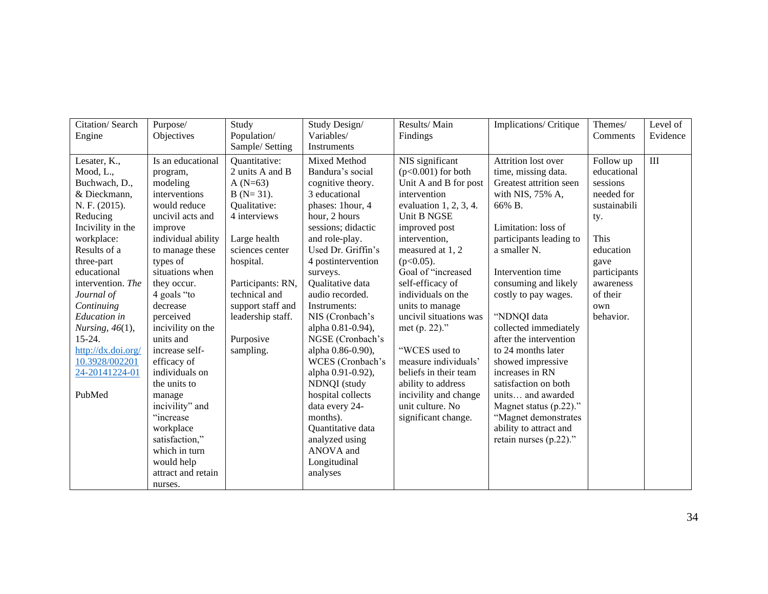| Citation/Search     | Purpose/           | Study             | Study Design/      | Results/Main              | Implications/ Critique  | Themes/      | Level of  |
|---------------------|--------------------|-------------------|--------------------|---------------------------|-------------------------|--------------|-----------|
| Engine              | Objectives         | Population/       | Variables/         | Findings                  |                         | Comments     | Evidence  |
|                     |                    | Sample/Setting    | Instruments        |                           |                         |              |           |
| Lesater, K.,        | Is an educational  | Quantitative:     | Mixed Method       | NIS significant           | Attrition lost over     | Follow up    | $\rm III$ |
| Mood, L.,           | program,           | 2 units A and B   | Bandura's social   | $(p<0.001)$ for both      | time, missing data.     | educational  |           |
| Buchwach, D.,       | modeling           | $A(N=63)$         | cognitive theory.  | Unit A and B for post     | Greatest attrition seen | sessions     |           |
| & Dieckmann,        | interventions      | $B(N=31)$ .       | 3 educational      | intervention              | with NIS, 75% A,        | needed for   |           |
| N. F. (2015).       | would reduce       | Qualitative:      | phases: 1hour, 4   | evaluation $1, 2, 3, 4$ . | 66% B.                  | sustainabili |           |
| Reducing            | uncivil acts and   | 4 interviews      | hour, 2 hours      | Unit B NGSE               |                         | ty.          |           |
| Incivility in the   | improve            |                   | sessions; didactic | improved post             | Limitation: loss of     |              |           |
| workplace:          | individual ability | Large health      | and role-play.     | intervention,             | participants leading to | <b>This</b>  |           |
| Results of a        | to manage these    | sciences center   | Used Dr. Griffin's | measured at 1, 2          | a smaller N.            | education    |           |
| three-part          | types of           | hospital.         | 4 postintervention | $(p<0.05)$ .              |                         | gave         |           |
| educational         | situations when    |                   | surveys.           | Goal of "increased        | Intervention time       | participants |           |
| intervention. The   | they occur.        | Participants: RN, | Qualitative data   | self-efficacy of          | consuming and likely    | awareness    |           |
| Journal of          | 4 goals "to        | technical and     | audio recorded.    | individuals on the        | costly to pay wages.    | of their     |           |
| Continuing          | decrease           | support staff and | Instruments:       | units to manage           |                         | own          |           |
| <b>Education</b> in | perceived          | leadership staff. | NIS (Cronbach's    | uncivil situations was    | "NDNQI data             | behavior.    |           |
| Nursing, $46(1)$ ,  | incivility on the  |                   | alpha 0.81-0.94),  | met $(p. 22)$ ."          | collected immediately   |              |           |
| $15-24.$            | units and          | Purposive         | NGSE (Cronbach's   |                           | after the intervention  |              |           |
| http://dx.doi.org/  | increase self-     | sampling.         | alpha 0.86-0.90),  | "WCES used to             | to 24 months later      |              |           |
| 10.3928/002201      | efficacy of        |                   | WCES (Cronbach's   | measure individuals'      | showed impressive       |              |           |
| 24-20141224-01      | individuals on     |                   | alpha 0.91-0.92),  | beliefs in their team     | increases in RN         |              |           |
|                     | the units to       |                   | NDNQI (study       | ability to address        | satisfaction on both    |              |           |
| PubMed              | manage             |                   | hospital collects  | incivility and change     | units and awarded       |              |           |
|                     | incivility" and    |                   | data every 24-     | unit culture. No          | Magnet status (p.22)."  |              |           |
|                     | "increase          |                   | months).           | significant change.       | "Magnet demonstrates    |              |           |
|                     | workplace          |                   | Quantitative data  |                           | ability to attract and  |              |           |
|                     | satisfaction,"     |                   | analyzed using     |                           | retain nurses (p.22)."  |              |           |
|                     | which in turn      |                   | ANOVA and          |                           |                         |              |           |
|                     | would help         |                   | Longitudinal       |                           |                         |              |           |
|                     | attract and retain |                   | analyses           |                           |                         |              |           |
|                     | nurses.            |                   |                    |                           |                         |              |           |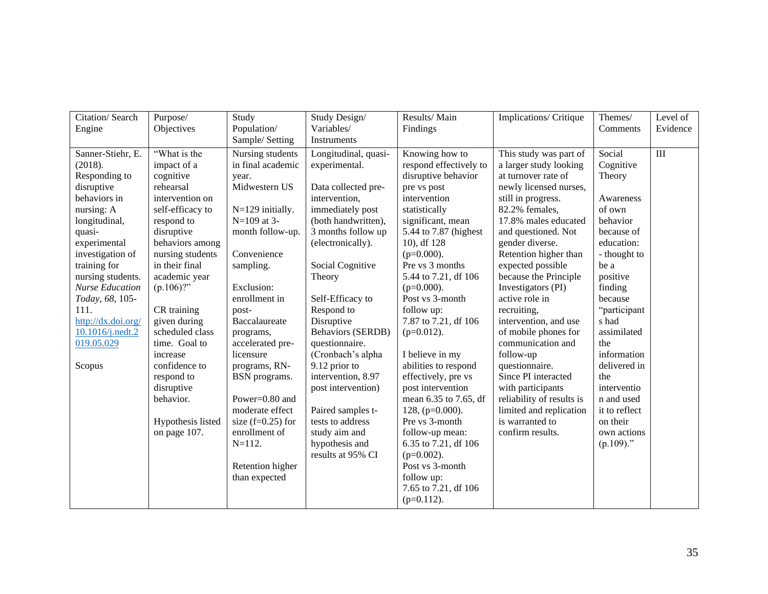| Citation/Search<br>Engine | Purpose/<br>Objectives | Study<br>Population/ | Study Design/<br>Variables/ | Results/Main<br>Findings | Implications/ Critique    | Themes/<br>Comments | Level of<br>Evidence |
|---------------------------|------------------------|----------------------|-----------------------------|--------------------------|---------------------------|---------------------|----------------------|
|                           |                        | Sample/ Setting      | Instruments                 |                          |                           |                     |                      |
| Sanner-Stiehr, E.         | "What is the           | Nursing students     | Longitudinal, quasi-        | Knowing how to           | This study was part of    | Social              | $\rm III$            |
| (2018).                   | impact of a            | in final academic    | experimental.               | respond effectively to   | a larger study looking    | Cognitive           |                      |
| Responding to             | cognitive              | year.                |                             | disruptive behavior      | at turnover rate of       | Theory              |                      |
| disruptive                | rehearsal              | Midwestern US        | Data collected pre-         | pre vs post              | newly licensed nurses,    |                     |                      |
| behaviors in              | intervention on        |                      | intervention,               | intervention             | still in progress.        | Awareness           |                      |
| nursing: A                | self-efficacy to       | N=129 initially.     | immediately post            | statistically            | 82.2% females,            | of own              |                      |
| longitudinal,             | respond to             | $N=109$ at 3-        | (both handwritten),         | significant, mean        | 17.8% males educated      | behavior            |                      |
| quasi-                    | disruptive             | month follow-up.     | 3 months follow up          | 5.44 to 7.87 (highest)   | and questioned. Not       | because of          |                      |
| experimental              | behaviors among        |                      | (electronically).           | 10), df 128              | gender diverse.           | education:          |                      |
| investigation of          | nursing students       | Convenience          |                             | $(p=0.000)$ .            | Retention higher than     | - thought to        |                      |
| training for              | in their final         | sampling.            | Social Cognitive            | Pre vs 3 months          | expected possible         | be a                |                      |
| nursing students.         | academic year          |                      | Theory                      | 5.44 to 7.21, df 106     | because the Principle     | positive            |                      |
| <b>Nurse Education</b>    | $(p.106)$ ?"           | Exclusion:           |                             | $(p=0.000)$ .            | Investigators (PI)        | finding             |                      |
| Today, 68, 105-           |                        | enrollment in        | Self-Efficacy to            | Post vs 3-month          | active role in            | because             |                      |
| 111.                      | CR training            | post-                | Respond to                  | follow up:               | recruiting,               | "participant        |                      |
| http://dx.doi.org/        | given during           | Baccalaureate        | Disruptive                  | 7.87 to 7.21, df 106     | intervention, and use     | s had               |                      |
| 10.1016/j.nedt.2          | scheduled class        | programs,            | <b>Behaviors (SERDB)</b>    | $(p=0.012)$ .            | of mobile phones for      | assimilated         |                      |
| 019.05.029                | time. Goal to          | accelerated pre-     | questionnaire.              |                          | communication and         | the                 |                      |
|                           | increase               | licensure            | (Cronbach's alpha           | I believe in my          | follow-up                 | information         |                      |
| Scopus                    | confidence to          | programs, RN-        | 9.12 prior to               | abilities to respond     | questionnaire.            | delivered in        |                      |
|                           | respond to             | BSN programs.        | intervention, 8.97          | effectively, pre vs      | Since PI interacted       | the                 |                      |
|                           | disruptive             |                      | post intervention)          | post intervention        | with participants         | interventio         |                      |
|                           | behavior.              | Power=0.80 and       |                             | mean 6.35 to 7.65, df    | reliability of results is | n and used          |                      |
|                           |                        | moderate effect      | Paired samples t-           | 128, ( $p=0.000$ ).      | limited and replication   | it to reflect       |                      |
|                           | Hypothesis listed      | size $(f=0.25)$ for  | tests to address            | Pre vs 3-month           | is warranted to           | on their            |                      |
|                           | on page 107.           | enrollment of        | study aim and               | follow-up mean:          | confirm results.          | own actions         |                      |
|                           |                        | $N = 112.$           | hypothesis and              | 6.35 to 7.21, df 106     |                           | $(p.109)$ ."        |                      |
|                           |                        |                      | results at 95% CI           | $(p=0.002)$ .            |                           |                     |                      |
|                           |                        | Retention higher     |                             | Post vs 3-month          |                           |                     |                      |
|                           |                        | than expected        |                             | follow up:               |                           |                     |                      |
|                           |                        |                      |                             | 7.65 to 7.21, df 106     |                           |                     |                      |
|                           |                        |                      |                             | $(p=0.112)$ .            |                           |                     |                      |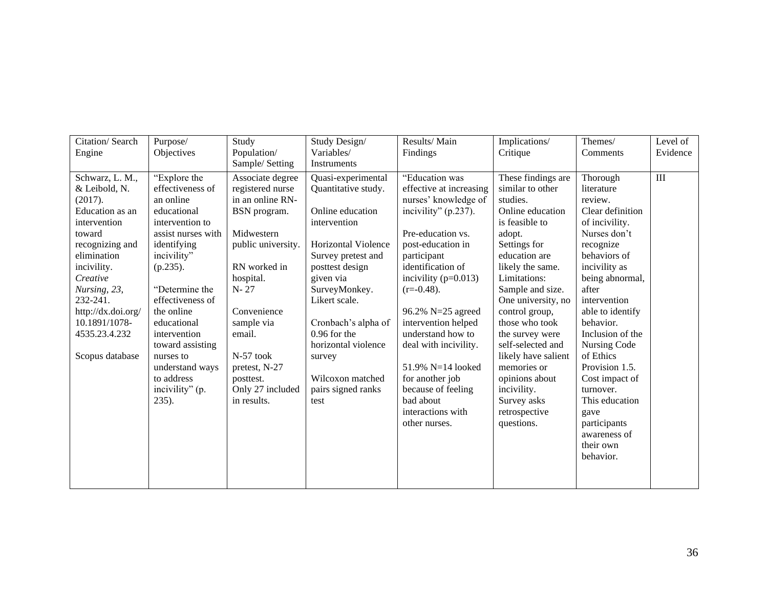| Citation/Search    | Purpose/           | Study              | Study Design/              | Results/Main             | Implications/       | Themes/          | Level of  |
|--------------------|--------------------|--------------------|----------------------------|--------------------------|---------------------|------------------|-----------|
| Engine             | Objectives         | Population/        | Variables/                 | Findings                 | Critique            | Comments         | Evidence  |
|                    |                    | Sample/ Setting    | Instruments                |                          |                     |                  |           |
| Schwarz, L. M.,    | "Explore the       | Associate degree   | Quasi-experimental         | "Education was           | These findings are  | Thorough         | $\rm III$ |
| & Leibold, N.      | effectiveness of   | registered nurse   | Quantitative study.        | effective at increasing  | similar to other    | literature       |           |
| (2017).            | an online          | in an online RN-   |                            | nurses' knowledge of     | studies.            | review.          |           |
| Education as an    | educational        | BSN program.       | Online education           | incivility" (p.237).     | Online education    | Clear definition |           |
| intervention       | intervention to    |                    | intervention               |                          | is feasible to      | of incivility.   |           |
| toward             | assist nurses with | Midwestern         |                            | Pre-education vs.        | adopt.              | Nurses don't     |           |
| recognizing and    | identifying        | public university. | <b>Horizontal Violence</b> | post-education in        | Settings for        | recognize        |           |
| elimination        | incivility"        |                    | Survey pretest and         | participant              | education are       | behaviors of     |           |
| incivility.        | $(p.235)$ .        | RN worked in       | posttest design            | identification of        | likely the same.    | incivility as    |           |
| Creative           |                    | hospital.          | given via                  | incivility ( $p=0.013$ ) | Limitations:        | being abnormal,  |           |
| Nursing, 23,       | "Determine the     | N-27               | SurveyMonkey.              | $(r=-0.48)$ .            | Sample and size.    | after            |           |
| 232-241.           | effectiveness of   |                    | Likert scale.              |                          | One university, no  | intervention     |           |
| http://dx.doi.org/ | the online         | Convenience        |                            | 96.2% N=25 agreed        | control group,      | able to identify |           |
| 10.1891/1078-      | educational        | sample via         | Cronbach's alpha of        | intervention helped      | those who took      | behavior.        |           |
| 4535.23.4.232      | intervention       | email.             | $0.96$ for the             | understand how to        | the survey were     | Inclusion of the |           |
|                    | toward assisting   |                    | horizontal violence        | deal with incivility.    | self-selected and   | Nursing Code     |           |
| Scopus database    | nurses to          | $N-57$ took        | survey                     |                          | likely have salient | of Ethics        |           |
|                    | understand ways    | pretest, N-27      |                            | 51.9% $N=14$ looked      | memories or         | Provision 1.5.   |           |
|                    | to address         | posttest.          | Wilcoxon matched           | for another job          | opinions about      | Cost impact of   |           |
|                    | incivility" (p.    | Only 27 included   | pairs signed ranks         | because of feeling       | incivility.         | turnover.        |           |
|                    | $235$ ).           | in results.        | test                       | bad about                | Survey asks         | This education   |           |
|                    |                    |                    |                            | interactions with        | retrospective       | gave             |           |
|                    |                    |                    |                            | other nurses.            | questions.          | participants     |           |
|                    |                    |                    |                            |                          |                     | awareness of     |           |
|                    |                    |                    |                            |                          |                     | their own        |           |
|                    |                    |                    |                            |                          |                     | behavior.        |           |
|                    |                    |                    |                            |                          |                     |                  |           |
|                    |                    |                    |                            |                          |                     |                  |           |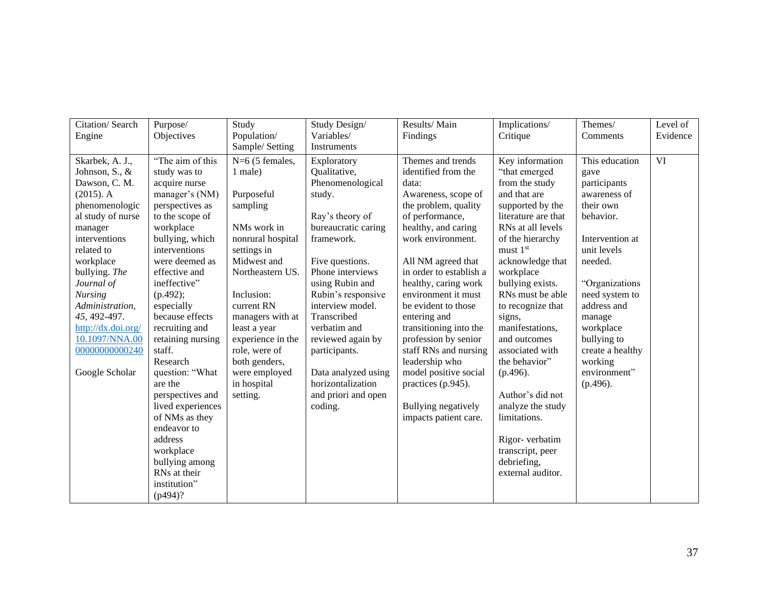| Citation/Search<br>Engine | Purpose/<br>Objectives | Study<br>Population/ | Study Design/<br>Variables/ | Results/Main<br>Findings | Implications/<br>Critique | Themes/<br>Comments | Level of<br>Evidence |
|---------------------------|------------------------|----------------------|-----------------------------|--------------------------|---------------------------|---------------------|----------------------|
|                           |                        | Sample/ Setting      | Instruments                 |                          |                           |                     |                      |
| Skarbek, A. J.,           | "The aim of this       | $N=6$ (5 females,    | Exploratory                 | Themes and trends        | Key information           | This education      | <b>VI</b>            |
| Johnson, S., &            | study was to           | 1 male)              | Qualitative,                | identified from the      | "that emerged             | gave                |                      |
| Dawson, C. M.             | acquire nurse          |                      | Phenomenological            | data:                    | from the study            | participants        |                      |
| $(2015)$ . A              | manager's (NM)         | Purposeful           | study.                      | Awareness, scope of      | and that are              | awareness of        |                      |
| phenomenologic            | perspectives as        | sampling             |                             | the problem, quality     | supported by the          | their own           |                      |
| al study of nurse         | to the scope of        |                      | Ray's theory of             | of performance,          | literature are that       | behavior.           |                      |
| manager                   | workplace              | NMs work in          | bureaucratic caring         | healthy, and caring      | RNs at all levels         |                     |                      |
| interventions             | bullying, which        | nonrural hospital    | framework.                  | work environment.        | of the hierarchy          | Intervention at     |                      |
| related to                | interventions          | settings in          |                             |                          | must 1st                  | unit levels         |                      |
| workplace                 | were deemed as         | Midwest and          | Five questions.             | All NM agreed that       | acknowledge that          | needed.             |                      |
| bullying. The             | effective and          | Northeastern US.     | Phone interviews            | in order to establish a  | workplace                 |                     |                      |
| Journal of                | ineffective"           |                      | using Rubin and             | healthy, caring work     | bullying exists.          | "Organizations      |                      |
| <b>Nursing</b>            | (p.492);               | Inclusion:           | Rubin's responsive          | environment it must      | RNs must be able          | need system to      |                      |
| Administration,           | especially             | current RN           | interview model.            | be evident to those      | to recognize that         | address and         |                      |
| 45, 492-497.              | because effects        | managers with at     | Transcribed                 | entering and             | signs,                    | manage              |                      |
| http://dx.doi.org/        | recruiting and         | least a year         | verbatim and                | transitioning into the   | manifestations,           | workplace           |                      |
| 10.1097/NNA.00            | retaining nursing      | experience in the    | reviewed again by           | profession by senior     | and outcomes              | bullying to         |                      |
| 00000000000240            | staff.                 | role, were of        | participants.               | staff RNs and nursing    | associated with           | create a healthy    |                      |
|                           | Research               | both genders,        |                             | leadership who           | the behavior"             | working             |                      |
| Google Scholar            | question: "What        | were employed        | Data analyzed using         | model positive social    | $(p.496)$ .               | environment"        |                      |
|                           | are the                | in hospital          | horizontalization           | practices (p.945).       |                           | $(p.496)$ .         |                      |
|                           | perspectives and       | setting.             | and priori and open         |                          | Author's did not          |                     |                      |
|                           | lived experiences      |                      | coding.                     | Bullying negatively      | analyze the study         |                     |                      |
|                           | of NMs as they         |                      |                             | impacts patient care.    | limitations.              |                     |                      |
|                           | endeavor to            |                      |                             |                          |                           |                     |                      |
|                           | address                |                      |                             |                          | Rigor-verbatim            |                     |                      |
|                           | workplace              |                      |                             |                          | transcript, peer          |                     |                      |
|                           | bullying among         |                      |                             |                          | debriefing,               |                     |                      |
|                           | RNs at their           |                      |                             |                          | external auditor.         |                     |                      |
|                           | institution"           |                      |                             |                          |                           |                     |                      |
|                           | $(p494)$ ?             |                      |                             |                          |                           |                     |                      |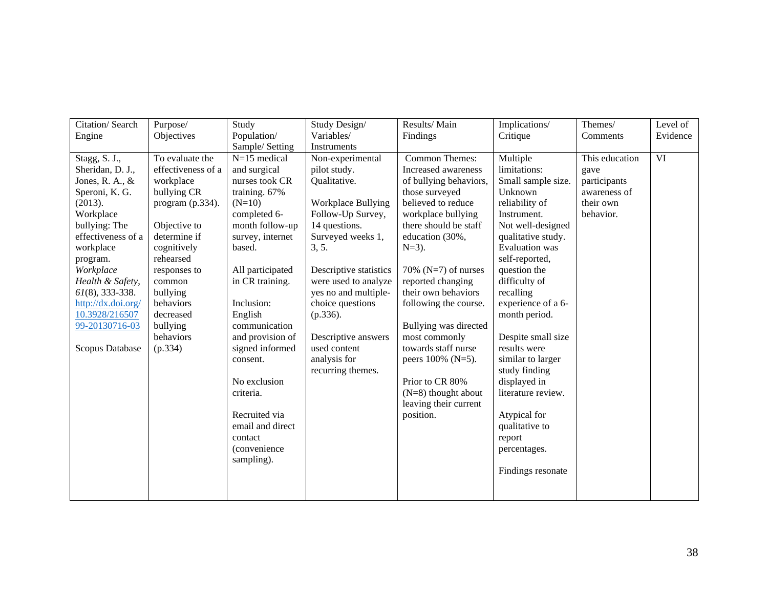| Citation/Search    | Purpose/           | Study            | Study Design/          | Results/Main            | Implications/         | Themes/        | Level of |
|--------------------|--------------------|------------------|------------------------|-------------------------|-----------------------|----------------|----------|
| Engine             | Objectives         | Population/      | Variables/             | Findings                | Critique              | Comments       | Evidence |
|                    |                    | Sample/ Setting  | Instruments            |                         |                       |                |          |
| Stagg, S. J.,      | To evaluate the    | $N=15$ medical   | Non-experimental       | Common Themes:          | Multiple              | This education | VI       |
| Sheridan, D. J.,   | effectiveness of a | and surgical     | pilot study.           | Increased awareness     | limitations:          | gave           |          |
| Jones, R. A., $\&$ | workplace          | nurses took CR   | Qualitative.           | of bullying behaviors,  | Small sample size.    | participants   |          |
| Speroni, K. G.     | bullying CR        | training. 67%    |                        | those surveyed          | Unknown               | awareness of   |          |
| (2013).            | program (p.334).   | $(N=10)$         | Workplace Bullying     | believed to reduce      | reliability of        | their own      |          |
| Workplace          |                    | completed 6-     | Follow-Up Survey,      | workplace bullying      | Instrument.           | behavior.      |          |
| bullying: The      | Objective to       | month follow-up  | 14 questions.          | there should be staff   | Not well-designed     |                |          |
| effectiveness of a | determine if       | survey, internet | Surveyed weeks 1,      | education (30%,         | qualitative study.    |                |          |
| workplace          | cognitively        | based.           | 3, 5.                  | $N=3$ ).                | <b>Evaluation</b> was |                |          |
| program.           | rehearsed          |                  |                        |                         | self-reported,        |                |          |
| Workplace          | responses to       | All participated | Descriptive statistics | 70% ( $N=7$ ) of nurses | question the          |                |          |
| Health & Safety,   | common             | in CR training.  | were used to analyze   | reported changing       | difficulty of         |                |          |
| $61(8)$ , 333-338. | bullying           |                  | yes no and multiple-   | their own behaviors     | recalling             |                |          |
| http://dx.doi.org/ | behaviors          | Inclusion:       | choice questions       | following the course.   | experience of a 6-    |                |          |
| 10.3928/216507     | decreased          | English          | $(p.336)$ .            |                         | month period.         |                |          |
| 99-20130716-03     | bullying           | communication    |                        | Bullying was directed   |                       |                |          |
|                    | behaviors          | and provision of | Descriptive answers    | most commonly           | Despite small size    |                |          |
| Scopus Database    | (p.334)            | signed informed  | used content           | towards staff nurse     | results were          |                |          |
|                    |                    | consent.         | analysis for           | peers 100% (N=5).       | similar to larger     |                |          |
|                    |                    |                  | recurring themes.      |                         | study finding         |                |          |
|                    |                    | No exclusion     |                        | Prior to CR 80%         | displayed in          |                |          |
|                    |                    | criteria.        |                        | $(N=8)$ thought about   | literature review.    |                |          |
|                    |                    |                  |                        | leaving their current   |                       |                |          |
|                    |                    | Recruited via    |                        | position.               | Atypical for          |                |          |
|                    |                    | email and direct |                        |                         | qualitative to        |                |          |
|                    |                    | contact          |                        |                         | report                |                |          |
|                    |                    | (convenience     |                        |                         | percentages.          |                |          |
|                    |                    | sampling).       |                        |                         |                       |                |          |
|                    |                    |                  |                        |                         | Findings resonate     |                |          |
|                    |                    |                  |                        |                         |                       |                |          |
|                    |                    |                  |                        |                         |                       |                |          |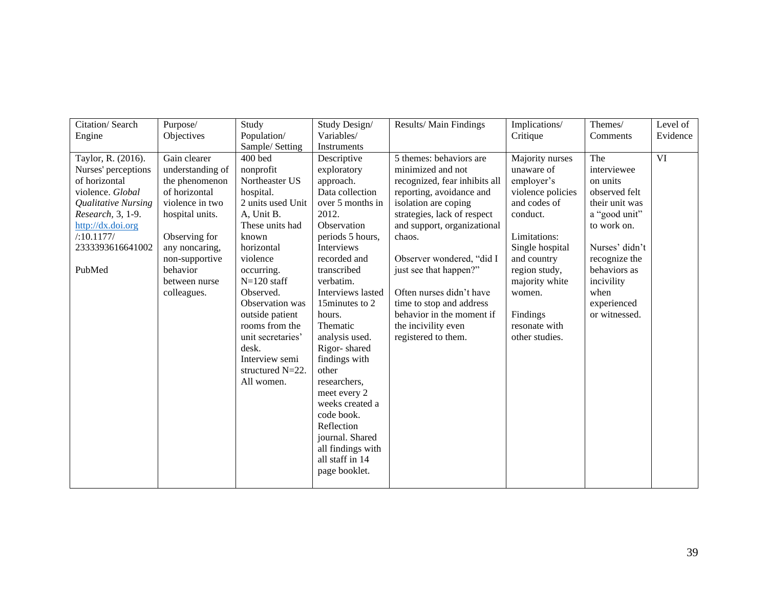| Citation/Search                                                                                                                                                                                   | Purpose/                                                                                                                                                                                                   | Study                                                                                                                                                                                                                                                                                                                   | Study Design/                                                                                                                                                                                                                                                                                                  | Results/Main Findings                                                                                                                                                                                                                                                                                                                                                                               | Implications/                                                                                                                                                                                                                              | Themes/                                                                                                                                                                                                    | Level of  |
|---------------------------------------------------------------------------------------------------------------------------------------------------------------------------------------------------|------------------------------------------------------------------------------------------------------------------------------------------------------------------------------------------------------------|-------------------------------------------------------------------------------------------------------------------------------------------------------------------------------------------------------------------------------------------------------------------------------------------------------------------------|----------------------------------------------------------------------------------------------------------------------------------------------------------------------------------------------------------------------------------------------------------------------------------------------------------------|-----------------------------------------------------------------------------------------------------------------------------------------------------------------------------------------------------------------------------------------------------------------------------------------------------------------------------------------------------------------------------------------------------|--------------------------------------------------------------------------------------------------------------------------------------------------------------------------------------------------------------------------------------------|------------------------------------------------------------------------------------------------------------------------------------------------------------------------------------------------------------|-----------|
| Engine                                                                                                                                                                                            | Objectives                                                                                                                                                                                                 | Population/                                                                                                                                                                                                                                                                                                             | Variables/                                                                                                                                                                                                                                                                                                     |                                                                                                                                                                                                                                                                                                                                                                                                     | Critique                                                                                                                                                                                                                                   | Comments                                                                                                                                                                                                   | Evidence  |
|                                                                                                                                                                                                   |                                                                                                                                                                                                            | Sample/ Setting                                                                                                                                                                                                                                                                                                         | Instruments                                                                                                                                                                                                                                                                                                    |                                                                                                                                                                                                                                                                                                                                                                                                     |                                                                                                                                                                                                                                            |                                                                                                                                                                                                            |           |
| Taylor, R. (2016).<br>Nurses' perceptions<br>of horizontal<br>violence. Global<br><b>Qualitative Nursing</b><br>Research, 3, 1-9.<br>http://dx.doi.org<br>/10.1177/<br>2333393616641002<br>PubMed | Gain clearer<br>understanding of<br>the phenomenon<br>of horizontal<br>violence in two<br>hospital units.<br>Observing for<br>any noncaring,<br>non-supportive<br>behavior<br>between nurse<br>colleagues. | 400 bed<br>nonprofit<br>Northeaster US<br>hospital.<br>2 units used Unit<br>A, Unit B.<br>These units had<br>known<br>horizontal<br>violence<br>occurring.<br>$N=120$ staff<br>Observed.<br>Observation was<br>outside patient<br>rooms from the<br>unit secretaries'<br>desk.<br>Interview semi<br>structured $N=22$ . | Descriptive<br>exploratory<br>approach.<br>Data collection<br>over 5 months in<br>2012.<br>Observation<br>periods 5 hours,<br>Interviews<br>recorded and<br>transcribed<br>verbatim.<br>Interviews lasted<br>15 minutes to 2<br>hours.<br>Thematic<br>analysis used.<br>Rigor-shared<br>findings with<br>other | 5 themes: behaviors are<br>minimized and not<br>recognized, fear inhibits all<br>reporting, avoidance and<br>isolation are coping<br>strategies, lack of respect<br>and support, organizational<br>chaos.<br>Observer wondered, "did I<br>just see that happen?"<br>Often nurses didn't have<br>time to stop and address<br>behavior in the moment if<br>the incivility even<br>registered to them. | Majority nurses<br>unaware of<br>employer's<br>violence policies<br>and codes of<br>conduct.<br>Limitations:<br>Single hospital<br>and country<br>region study,<br>majority white<br>women.<br>Findings<br>resonate with<br>other studies. | The<br>interviewee<br>on units<br>observed felt<br>their unit was<br>a "good unit"<br>to work on.<br>Nurses' didn't<br>recognize the<br>behaviors as<br>incivility<br>when<br>experienced<br>or witnessed. | <b>VI</b> |
|                                                                                                                                                                                                   |                                                                                                                                                                                                            | All women.                                                                                                                                                                                                                                                                                                              | researchers,<br>meet every 2<br>weeks created a<br>code book.                                                                                                                                                                                                                                                  |                                                                                                                                                                                                                                                                                                                                                                                                     |                                                                                                                                                                                                                                            |                                                                                                                                                                                                            |           |
|                                                                                                                                                                                                   |                                                                                                                                                                                                            |                                                                                                                                                                                                                                                                                                                         | Reflection<br>journal. Shared<br>all findings with<br>all staff in 14<br>page booklet.                                                                                                                                                                                                                         |                                                                                                                                                                                                                                                                                                                                                                                                     |                                                                                                                                                                                                                                            |                                                                                                                                                                                                            |           |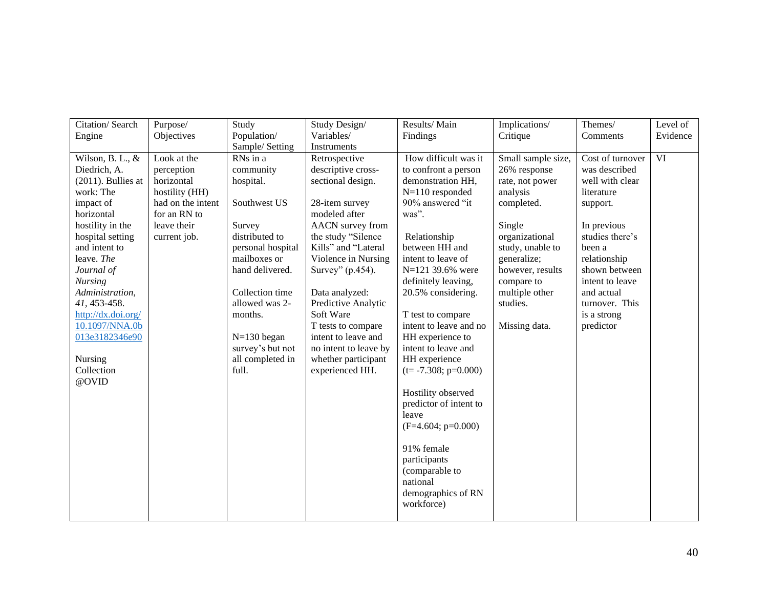| Citation/Search       | Purpose/          | Study             | Study Design/         | Results/Main            | Implications/      | Themes/          | Level of |
|-----------------------|-------------------|-------------------|-----------------------|-------------------------|--------------------|------------------|----------|
| Engine                | Objectives        | Population/       | Variables/            | Findings                | Critique           | Comments         | Evidence |
|                       |                   | Sample/ Setting   | Instruments           |                         |                    |                  |          |
| Wilson, B. L., &      | Look at the       | RNs in a          | Retrospective         | How difficult was it    | Small sample size, | Cost of turnover | VI       |
| Diedrich, A.          | perception        | community         | descriptive cross-    | to confront a person    | 26% response       | was described    |          |
| $(2011)$ . Bullies at | horizontal        | hospital.         | sectional design.     | demonstration HH,       | rate, not power    | well with clear  |          |
| work: The             | hostility (HH)    |                   |                       | $N=110$ responded       | analysis           | literature       |          |
| impact of             | had on the intent | Southwest US      | 28-item survey        | 90% answered "it        | completed.         | support.         |          |
| horizontal            | for an RN to      |                   | modeled after         | was".                   |                    |                  |          |
| hostility in the      | leave their       | Survey            | AACN survey from      |                         | Single             | In previous      |          |
| hospital setting      | current job.      | distributed to    | the study "Silence    | Relationship            | organizational     | studies there's  |          |
| and intent to         |                   | personal hospital | Kills" and "Lateral   | between HH and          | study, unable to   | been a           |          |
| leave. The            |                   | mailboxes or      | Violence in Nursing   | intent to leave of      | generalize;        | relationship     |          |
| Journal of            |                   | hand delivered.   | Survey" (p.454).      | N=121 39.6% were        | however, results   | shown between    |          |
| <b>Nursing</b>        |                   |                   |                       | definitely leaving,     | compare to         | intent to leave  |          |
| Administration,       |                   | Collection time   | Data analyzed:        | 20.5% considering.      | multiple other     | and actual       |          |
| 41, 453-458.          |                   | allowed was 2-    | Predictive Analytic   |                         | studies.           | turnover. This   |          |
| http://dx.doi.org/    |                   | months.           | Soft Ware             | T test to compare       |                    | is a strong      |          |
| 10.1097/NNA.0b        |                   |                   | T tests to compare    | intent to leave and no  | Missing data.      | predictor        |          |
| 013e3182346e90        |                   | $N=130$ began     | intent to leave and   | HH experience to        |                    |                  |          |
|                       |                   | survey's but not  | no intent to leave by | intent to leave and     |                    |                  |          |
| Nursing               |                   | all completed in  | whether participant   | HH experience           |                    |                  |          |
| Collection            |                   | full.             | experienced HH.       | $(t = -7.308; p=0.000)$ |                    |                  |          |
| @OVID                 |                   |                   |                       |                         |                    |                  |          |
|                       |                   |                   |                       | Hostility observed      |                    |                  |          |
|                       |                   |                   |                       | predictor of intent to  |                    |                  |          |
|                       |                   |                   |                       | leave                   |                    |                  |          |
|                       |                   |                   |                       | $(F=4.604; p=0.000)$    |                    |                  |          |
|                       |                   |                   |                       | 91% female              |                    |                  |          |
|                       |                   |                   |                       | participants            |                    |                  |          |
|                       |                   |                   |                       | (comparable to          |                    |                  |          |
|                       |                   |                   |                       | national                |                    |                  |          |
|                       |                   |                   |                       | demographics of RN      |                    |                  |          |
|                       |                   |                   |                       | workforce)              |                    |                  |          |
|                       |                   |                   |                       |                         |                    |                  |          |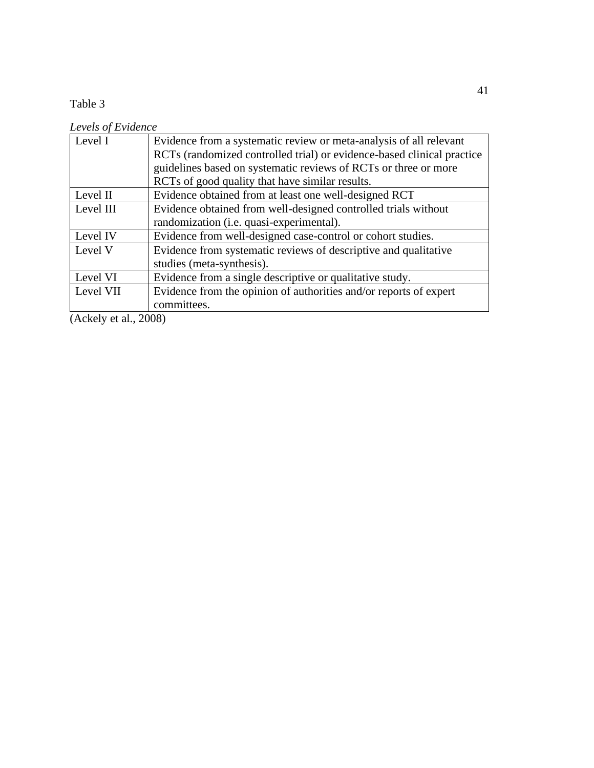Table 3

*Levels of Evidence*

| Level I   | Evidence from a systematic review or meta-analysis of all relevant     |
|-----------|------------------------------------------------------------------------|
|           | RCTs (randomized controlled trial) or evidence-based clinical practice |
|           | guidelines based on systematic reviews of RCTs or three or more        |
|           | RCTs of good quality that have similar results.                        |
| Level II  | Evidence obtained from at least one well-designed RCT                  |
| Level III | Evidence obtained from well-designed controlled trials without         |
|           | randomization (i.e. quasi-experimental).                               |
| Level IV  | Evidence from well-designed case-control or cohort studies.            |
| Level V   | Evidence from systematic reviews of descriptive and qualitative        |
|           | studies (meta-synthesis).                                              |
| Level VI  | Evidence from a single descriptive or qualitative study.               |
| Level VII | Evidence from the opinion of authorities and/or reports of expert      |
|           | committees.                                                            |

(Ackely et al., 2008)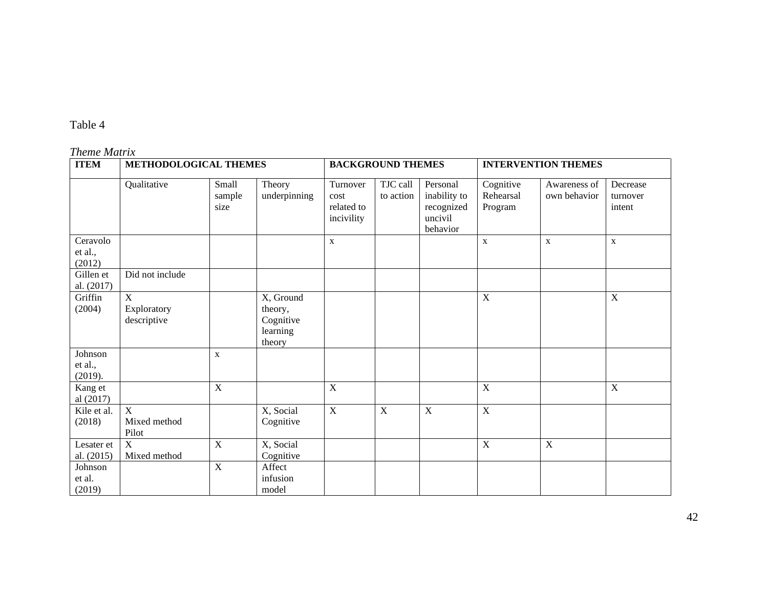# Table 4

# *Theme Matrix*

| <b>ITEM</b>                   | METHODOLOGICAL THEMES           |                           |                                                         | <b>BACKGROUND THEMES</b>                     |                       |                                                               | <b>INTERVENTION THEMES</b>        |                              |                                |
|-------------------------------|---------------------------------|---------------------------|---------------------------------------------------------|----------------------------------------------|-----------------------|---------------------------------------------------------------|-----------------------------------|------------------------------|--------------------------------|
|                               | Qualitative                     | Small<br>sample<br>size   | Theory<br>underpinning                                  | Turnover<br>cost<br>related to<br>incivility | TJC call<br>to action | Personal<br>inability to<br>recognized<br>uncivil<br>behavior | Cognitive<br>Rehearsal<br>Program | Awareness of<br>own behavior | Decrease<br>turnover<br>intent |
| Ceravolo<br>et al.,<br>(2012) |                                 |                           |                                                         | $\mathbf X$                                  |                       |                                                               | $\mathbf X$                       | $\mathbf X$                  | $\mathbf X$                    |
| Gillen et<br>al. (2017)       | Did not include                 |                           |                                                         |                                              |                       |                                                               |                                   |                              |                                |
| Griffin<br>(2004)             | X<br>Exploratory<br>descriptive |                           | X, Ground<br>theory,<br>Cognitive<br>learning<br>theory |                                              |                       |                                                               | X                                 |                              | $\mathbf X$                    |
| Johnson<br>et al.,<br>(2019). |                                 | X                         |                                                         |                                              |                       |                                                               |                                   |                              |                                |
| Kang et<br>al (2017)          |                                 | $\mathbf X$               |                                                         | $\mathbf X$                                  |                       |                                                               | $\boldsymbol{\mathrm{X}}$         |                              | $\mathbf X$                    |
| Kile et al.<br>(2018)         | X<br>Mixed method<br>Pilot      |                           | X, Social<br>Cognitive                                  | $\mathbf X$                                  | $\mathbf X$           | X                                                             | $\boldsymbol{\mathrm{X}}$         |                              |                                |
| Lesater et<br>al. (2015)      | $\mathbf X$<br>Mixed method     | $\mathbf X$               | X, Social<br>Cognitive                                  |                                              |                       |                                                               | X                                 | $\mathbf X$                  |                                |
| Johnson<br>et al.<br>(2019)   |                                 | $\boldsymbol{\mathrm{X}}$ | Affect<br>infusion<br>model                             |                                              |                       |                                                               |                                   |                              |                                |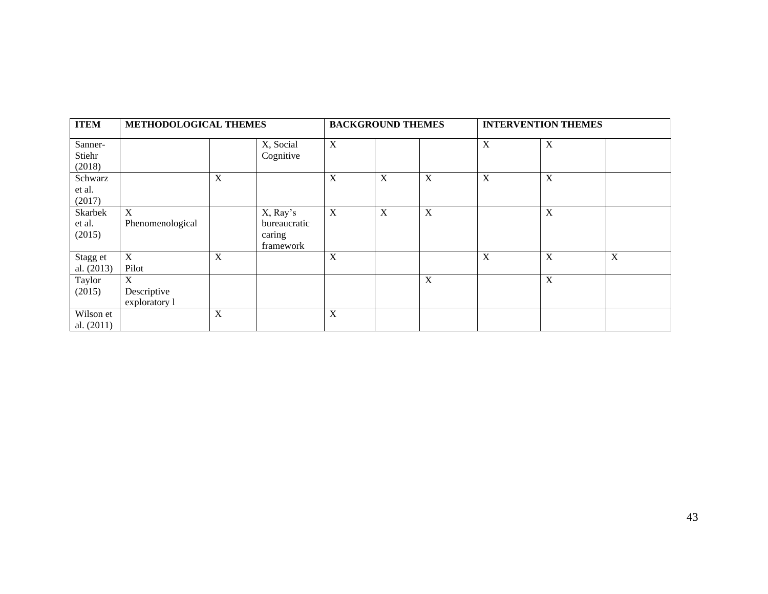| <b>ITEM</b>  | METHODOLOGICAL THEMES |   |              | <b>BACKGROUND THEMES</b> |   |   | <b>INTERVENTION THEMES</b> |   |   |
|--------------|-----------------------|---|--------------|--------------------------|---|---|----------------------------|---|---|
| Sanner-      |                       |   | X, Social    | X                        |   |   | $\mathbf X$                | X |   |
| Stiehr       |                       |   | Cognitive    |                          |   |   |                            |   |   |
| (2018)       |                       |   |              |                          |   |   |                            |   |   |
| Schwarz      |                       | X |              | X                        | X | X | $\mathbf X$                | X |   |
| et al.       |                       |   |              |                          |   |   |                            |   |   |
| (2017)       |                       |   |              |                          |   |   |                            |   |   |
| Skarbek      | X                     |   | X, Ray's     | X                        | X | X |                            | X |   |
| et al.       | Phenomenological      |   | bureaucratic |                          |   |   |                            |   |   |
| (2015)       |                       |   | caring       |                          |   |   |                            |   |   |
|              |                       |   | framework    |                          |   |   |                            |   |   |
| Stagg et     | X                     | X |              | X                        |   |   | X                          | X | X |
| al. (2013)   | Pilot                 |   |              |                          |   |   |                            |   |   |
| Taylor       | X                     |   |              |                          |   | X |                            | X |   |
| (2015)       | Descriptive           |   |              |                          |   |   |                            |   |   |
|              | exploratory 1         |   |              |                          |   |   |                            |   |   |
| Wilson et    |                       | X |              | X                        |   |   |                            |   |   |
| al. $(2011)$ |                       |   |              |                          |   |   |                            |   |   |